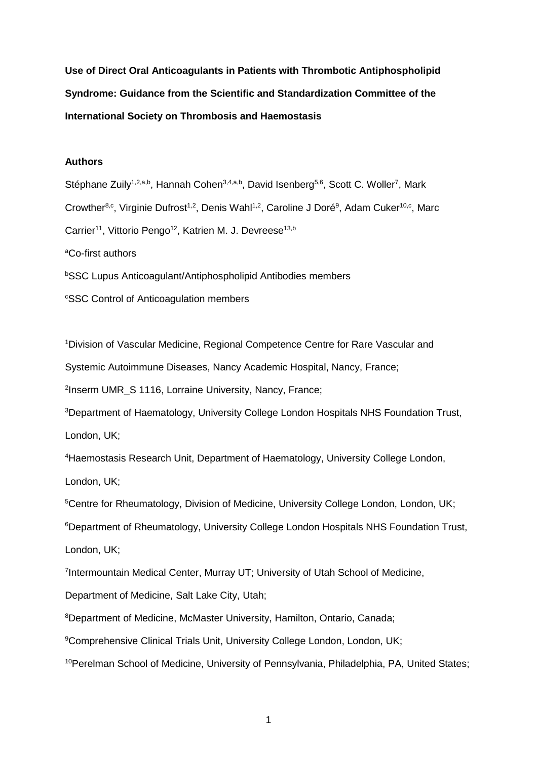**Use of Direct Oral Anticoagulants in Patients with Thrombotic Antiphospholipid Syndrome: Guidance from the Scientific and Standardization Committee of the International Society on Thrombosis and Haemostasis**

#### **Authors**

Stéphane Zuily<sup>1,2,a,b</sup>, Hannah Cohen<sup>3,4,a,b</sup>, David Isenberg<sup>5,6</sup>, Scott C. Woller<sup>7</sup>, Mark Crowther<sup>8,c</sup>, Virginie Dufrost<sup>1,2</sup>, Denis Wahl<sup>1,2</sup>, Caroline J Doré<sup>9</sup>, Adam Cuker<sup>10,c</sup>, Marc Carrier<sup>11</sup>, Vittorio Pengo<sup>12</sup>, Katrien M. J. Devreese<sup>13,b</sup> <sup>a</sup>Co-first authors **bSSC Lupus Anticoagulant/Antiphospholipid Antibodies members** 

<sup>c</sup>SSC Control of Anticoagulation members

<sup>1</sup>Division of Vascular Medicine, Regional Competence Centre for Rare Vascular and

Systemic Autoimmune Diseases, Nancy Academic Hospital, Nancy, France;

2 Inserm UMR\_S 1116, Lorraine University, Nancy, France;

<sup>3</sup>Department of Haematology, University College London Hospitals NHS Foundation Trust, London, UK;

<sup>4</sup>Haemostasis Research Unit, Department of Haematology, University College London, London, UK;

<sup>5</sup>Centre for Rheumatology, Division of Medicine, University College London, London, UK;

<sup>6</sup>Department of Rheumatology, University College London Hospitals NHS Foundation Trust, London, UK;

7 Intermountain Medical Center, Murray UT; University of Utah School of Medicine,

Department of Medicine, Salt Lake City, Utah;

<sup>8</sup>Department of Medicine, McMaster University, Hamilton, Ontario, Canada;

<sup>9</sup>Comprehensive Clinical Trials Unit, University College London, London, UK;

10Perelman School of Medicine, University of Pennsylvania, Philadelphia, PA, United States;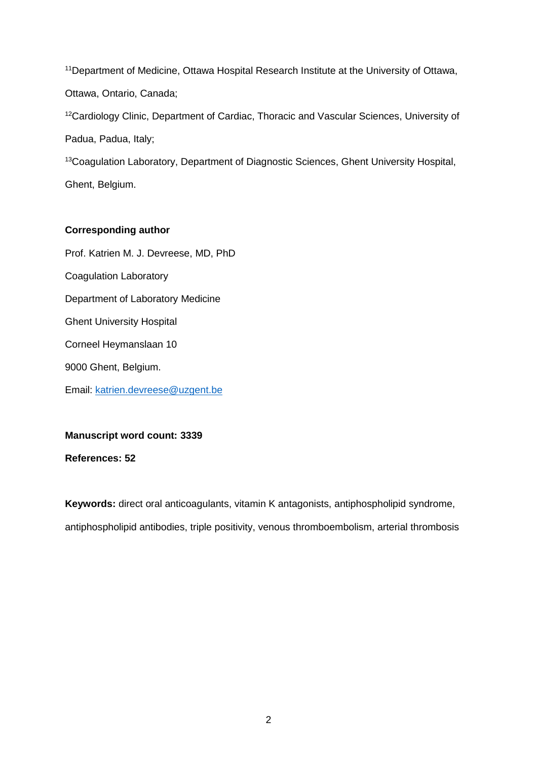<sup>11</sup>Department of Medicine, Ottawa Hospital Research Institute at the University of Ottawa, Ottawa, Ontario, Canada;

<sup>12</sup>Cardiology Clinic, Department of Cardiac, Thoracic and Vascular Sciences, University of Padua, Padua, Italy;

<sup>13</sup>Coagulation Laboratory, Department of Diagnostic Sciences, Ghent University Hospital, Ghent, Belgium.

## **Corresponding author**

Prof. Katrien M. J. Devreese, MD, PhD Coagulation Laboratory Department of Laboratory Medicine Ghent University Hospital Corneel Heymanslaan 10 9000 Ghent, Belgium. Email: [katrien.devreese@uzgent.be](mailto:katrien.devreese@uzgent.be)

## **Manuscript word count: 3339**

**References: 52**

**Keywords:** direct oral anticoagulants, vitamin K antagonists, antiphospholipid syndrome, antiphospholipid antibodies, triple positivity, venous thromboembolism, arterial thrombosis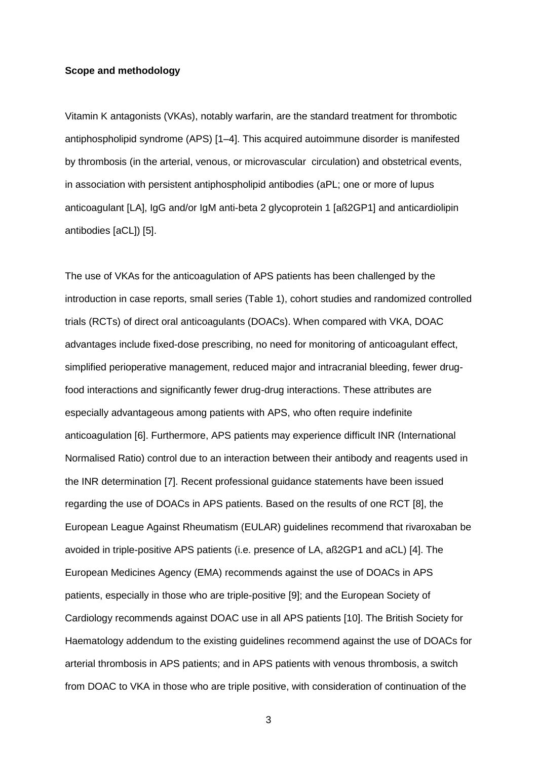#### **Scope and methodology**

Vitamin K antagonists (VKAs), notably warfarin, are the standard treatment for thrombotic antiphospholipid syndrome (APS) [1–4]. This acquired autoimmune disorder is manifested by thrombosis (in the arterial, venous, or microvascular circulation) and obstetrical events, in association with persistent antiphospholipid antibodies (aPL; one or more of lupus anticoagulant [LA], IgG and/or IgM anti-beta 2 glycoprotein 1 [aß2GP1] and anticardiolipin antibodies [aCL]) [5].

The use of VKAs for the anticoagulation of APS patients has been challenged by the introduction in case reports, small series (Table 1), cohort studies and randomized controlled trials (RCTs) of direct oral anticoagulants (DOACs). When compared with VKA, DOAC advantages include fixed-dose prescribing, no need for monitoring of anticoagulant effect, simplified perioperative management, reduced major and intracranial bleeding, fewer drugfood interactions and significantly fewer drug-drug interactions. These attributes are especially advantageous among patients with APS, who often require indefinite anticoagulation [6]. Furthermore, APS patients may experience difficult INR (International Normalised Ratio) control due to an interaction between their antibody and reagents used in the INR determination [7]. Recent professional guidance statements have been issued regarding the use of DOACs in APS patients. Based on the results of one RCT [8], the European League Against Rheumatism (EULAR) guidelines recommend that rivaroxaban be avoided in triple-positive APS patients (i.e. presence of LA, aß2GP1 and aCL) [4]. The European Medicines Agency (EMA) recommends against the use of DOACs in APS patients, especially in those who are triple-positive [9]; and the European Society of Cardiology recommends against DOAC use in all APS patients [10]. The British Society for Haematology addendum to the existing guidelines recommend against the use of DOACs for arterial thrombosis in APS patients; and in APS patients with venous thrombosis, a switch from DOAC to VKA in those who are triple positive, with consideration of continuation of the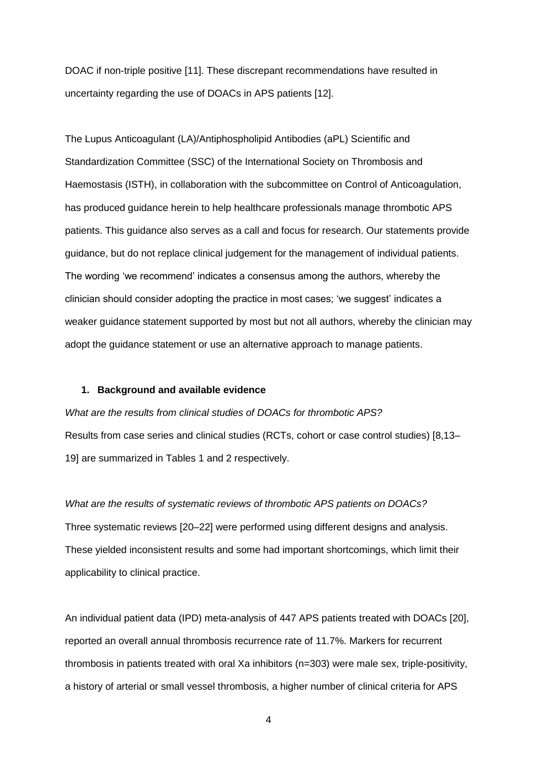DOAC if non-triple positive [11]. These discrepant recommendations have resulted in uncertainty regarding the use of DOACs in APS patients [12].

The Lupus Anticoagulant (LA)/Antiphospholipid Antibodies (aPL) Scientific and Standardization Committee (SSC) of the International Society on Thrombosis and Haemostasis (ISTH), in collaboration with the subcommittee on Control of Anticoagulation, has produced guidance herein to help healthcare professionals manage thrombotic APS patients. This guidance also serves as a call and focus for research. Our statements provide guidance, but do not replace clinical judgement for the management of individual patients. The wording 'we recommend' indicates a consensus among the authors, whereby the clinician should consider adopting the practice in most cases; 'we suggest' indicates a weaker guidance statement supported by most but not all authors, whereby the clinician may adopt the guidance statement or use an alternative approach to manage patients.

#### **1. Background and available evidence**

*What are the results from clinical studies of DOACs for thrombotic APS?* Results from case series and clinical studies (RCTs, cohort or case control studies) [8,13– 19] are summarized in Tables 1 and 2 respectively.

*What are the results of systematic reviews of thrombotic APS patients on DOACs?* Three systematic reviews [20–22] were performed using different designs and analysis. These yielded inconsistent results and some had important shortcomings, which limit their applicability to clinical practice.

An individual patient data (IPD) meta-analysis of 447 APS patients treated with DOACs [20], reported an overall annual thrombosis recurrence rate of 11.7%. Markers for recurrent thrombosis in patients treated with oral Xa inhibitors (n=303) were male sex, triple-positivity, a history of arterial or small vessel thrombosis, a higher number of clinical criteria for APS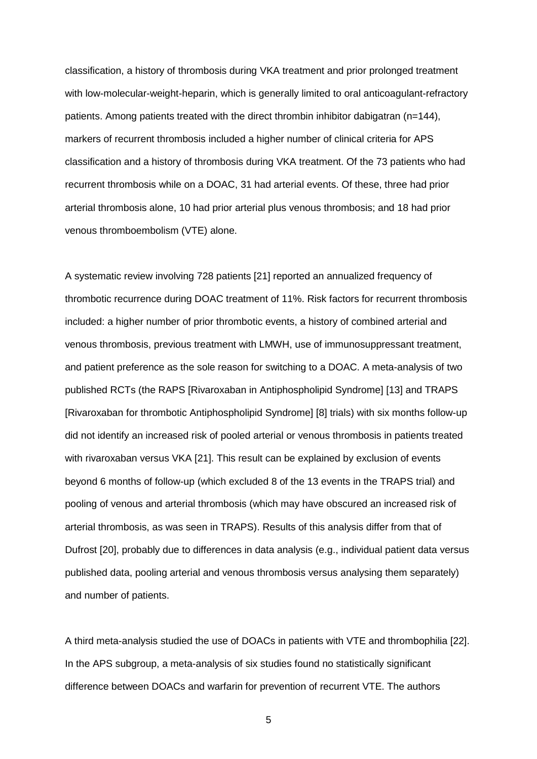classification, a history of thrombosis during VKA treatment and prior prolonged treatment with low-molecular-weight-heparin, which is generally limited to oral anticoagulant-refractory patients. Among patients treated with the direct thrombin inhibitor dabigatran  $(n=144)$ , markers of recurrent thrombosis included a higher number of clinical criteria for APS classification and a history of thrombosis during VKA treatment. Of the 73 patients who had recurrent thrombosis while on a DOAC, 31 had arterial events. Of these, three had prior arterial thrombosis alone, 10 had prior arterial plus venous thrombosis; and 18 had prior venous thromboembolism (VTE) alone.

A systematic review involving 728 patients [21] reported an annualized frequency of thrombotic recurrence during DOAC treatment of 11%. Risk factors for recurrent thrombosis included: a higher number of prior thrombotic events, a history of combined arterial and venous thrombosis, previous treatment with LMWH, use of immunosuppressant treatment, and patient preference as the sole reason for switching to a DOAC. A meta-analysis of two published RCTs (the RAPS [Rivaroxaban in Antiphospholipid Syndrome] [13] and TRAPS [Rivaroxaban for thrombotic Antiphospholipid Syndrome] [8] trials) with six months follow-up did not identify an increased risk of pooled arterial or venous thrombosis in patients treated with rivaroxaban versus VKA [21]. This result can be explained by exclusion of events beyond 6 months of follow-up (which excluded 8 of the 13 events in the TRAPS trial) and pooling of venous and arterial thrombosis (which may have obscured an increased risk of arterial thrombosis, as was seen in TRAPS). Results of this analysis differ from that of Dufrost [20], probably due to differences in data analysis (e.g., individual patient data versus published data, pooling arterial and venous thrombosis versus analysing them separately) and number of patients.

A third meta-analysis studied the use of DOACs in patients with VTE and thrombophilia [22]. In the APS subgroup, a meta-analysis of six studies found no statistically significant difference between DOACs and warfarin for prevention of recurrent VTE. The authors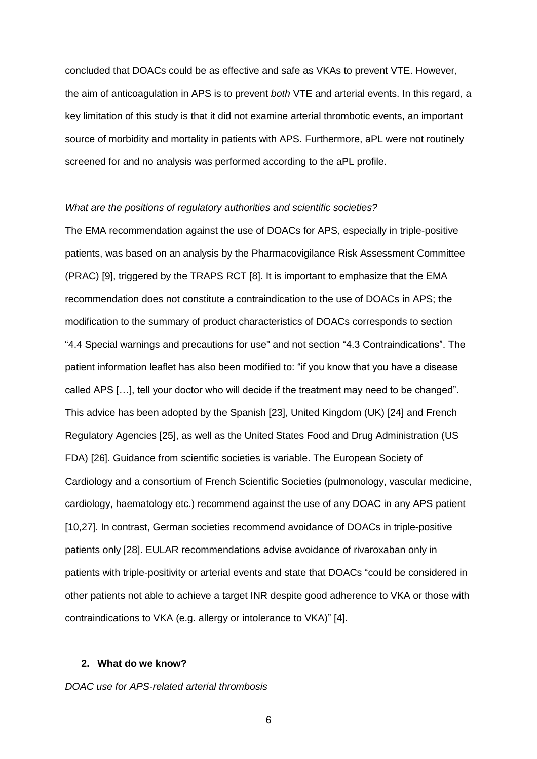concluded that DOACs could be as effective and safe as VKAs to prevent VTE. However, the aim of anticoagulation in APS is to prevent *both* VTE and arterial events. In this regard, a key limitation of this study is that it did not examine arterial thrombotic events, an important source of morbidity and mortality in patients with APS. Furthermore, aPL were not routinely screened for and no analysis was performed according to the aPL profile.

#### *What are the positions of regulatory authorities and scientific societies?*

The EMA recommendation against the use of DOACs for APS, especially in triple-positive patients, was based on an analysis by the Pharmacovigilance Risk Assessment Committee (PRAC) [9], triggered by the TRAPS RCT [8]. It is important to emphasize that the EMA recommendation does not constitute a contraindication to the use of DOACs in APS; the modification to the summary of product characteristics of DOACs corresponds to section "4.4 Special warnings and precautions for use" and not section "4.3 Contraindications". The patient information leaflet has also been modified to: "if you know that you have a disease called APS […], tell your doctor who will decide if the treatment may need to be changed". This advice has been adopted by the Spanish [23], United Kingdom (UK) [24] and French Regulatory Agencies [25], as well as the United States Food and Drug Administration (US FDA) [26]. Guidance from scientific societies is variable. The European Society of Cardiology and a consortium of French Scientific Societies (pulmonology, vascular medicine, cardiology, haematology etc.) recommend against the use of any DOAC in any APS patient [10,27]. In contrast, German societies recommend avoidance of DOACs in triple-positive patients only [28]. EULAR recommendations advise avoidance of rivaroxaban only in patients with triple-positivity or arterial events and state that DOACs "could be considered in other patients not able to achieve a target INR despite good adherence to VKA or those with contraindications to VKA (e.g. allergy or intolerance to VKA)" [4].

#### **2. What do we know?**

*DOAC use for APS-related arterial thrombosis*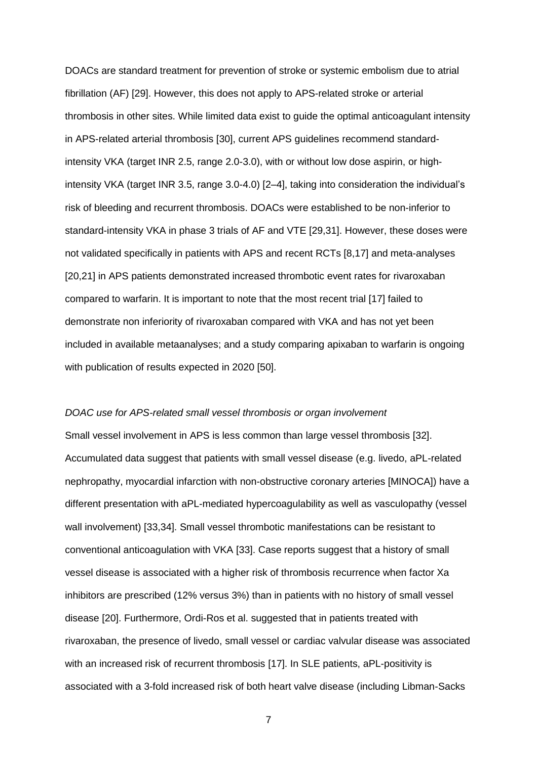DOACs are standard treatment for prevention of stroke or systemic embolism due to atrial fibrillation (AF) [29]. However, this does not apply to APS-related stroke or arterial thrombosis in other sites. While limited data exist to guide the optimal anticoagulant intensity in APS-related arterial thrombosis [30], current APS guidelines recommend standardintensity VKA (target INR 2.5, range 2.0-3.0), with or without low dose aspirin, or highintensity VKA (target INR 3.5, range 3.0-4.0) [2–4], taking into consideration the individual's risk of bleeding and recurrent thrombosis. DOACs were established to be non-inferior to standard-intensity VKA in phase 3 trials of AF and VTE [29,31]. However, these doses were not validated specifically in patients with APS and recent RCTs [8,17] and meta-analyses [20,21] in APS patients demonstrated increased thrombotic event rates for rivaroxaban compared to warfarin. It is important to note that the most recent trial [17] failed to demonstrate non inferiority of rivaroxaban compared with VKA and has not yet been included in available metaanalyses; and a study comparing apixaban to warfarin is ongoing with publication of results expected in 2020 [50].

#### *DOAC use for APS-related small vessel thrombosis or organ involvement*

Small vessel involvement in APS is less common than large vessel thrombosis [32]. Accumulated data suggest that patients with small vessel disease (e.g. livedo, aPL-related nephropathy, myocardial infarction with non-obstructive coronary arteries [MINOCA]) have a different presentation with aPL-mediated hypercoagulability as well as vasculopathy (vessel wall involvement) [33,34]. Small vessel thrombotic manifestations can be resistant to conventional anticoagulation with VKA [33]. Case reports suggest that a history of small vessel disease is associated with a higher risk of thrombosis recurrence when factor Xa inhibitors are prescribed (12% versus 3%) than in patients with no history of small vessel disease [20]. Furthermore, Ordi-Ros et al. suggested that in patients treated with rivaroxaban, the presence of livedo, small vessel or cardiac valvular disease was associated with an increased risk of recurrent thrombosis [17]. In SLE patients, aPL-positivity is associated with a 3-fold increased risk of both heart valve disease (including Libman-Sacks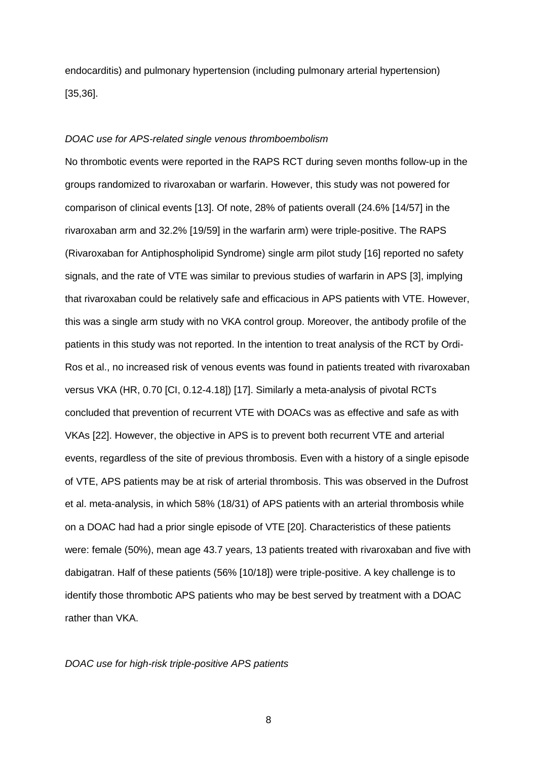endocarditis) and pulmonary hypertension (including pulmonary arterial hypertension) [35,36].

#### *DOAC use for APS-related single venous thromboembolism*

No thrombotic events were reported in the RAPS RCT during seven months follow-up in the groups randomized to rivaroxaban or warfarin. However, this study was not powered for comparison of clinical events [13]. Of note, 28% of patients overall (24.6% [14/57] in the rivaroxaban arm and 32.2% [19/59] in the warfarin arm) were triple-positive. The RAPS (Rivaroxaban for Antiphospholipid Syndrome) single arm pilot study [16] reported no safety signals, and the rate of VTE was similar to previous studies of warfarin in APS [3], implying that rivaroxaban could be relatively safe and efficacious in APS patients with VTE. However, this was a single arm study with no VKA control group. Moreover, the antibody profile of the patients in this study was not reported. In the intention to treat analysis of the RCT by Ordi-Ros et al., no increased risk of venous events was found in patients treated with rivaroxaban versus VKA (HR, 0.70 [CI, 0.12-4.18]) [17]. Similarly a meta-analysis of pivotal RCTs concluded that prevention of recurrent VTE with DOACs was as effective and safe as with VKAs [22]. However, the objective in APS is to prevent both recurrent VTE and arterial events, regardless of the site of previous thrombosis. Even with a history of a single episode of VTE, APS patients may be at risk of arterial thrombosis. This was observed in the Dufrost et al. meta-analysis, in which 58% (18/31) of APS patients with an arterial thrombosis while on a DOAC had had a prior single episode of VTE [20]. Characteristics of these patients were: female (50%), mean age 43.7 years, 13 patients treated with rivaroxaban and five with dabigatran. Half of these patients (56% [10/18]) were triple-positive. A key challenge is to identify those thrombotic APS patients who may be best served by treatment with a DOAC rather than VKA.

#### *DOAC use for high-risk triple-positive APS patients*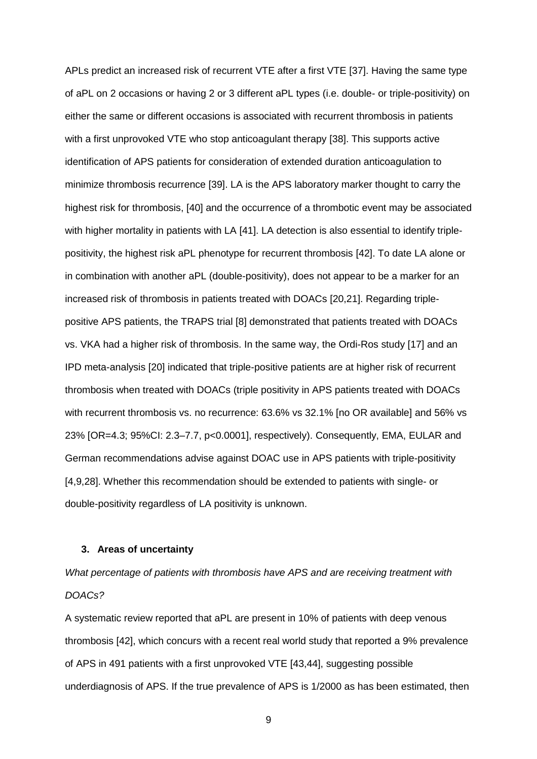APLs predict an increased risk of recurrent VTE after a first VTE [37]. Having the same type of aPL on 2 occasions or having 2 or 3 different aPL types (i.e. double- or triple-positivity) on either the same or different occasions is associated with recurrent thrombosis in patients with a first unprovoked VTE who stop anticoagulant therapy [38]. This supports active identification of APS patients for consideration of extended duration anticoagulation to minimize thrombosis recurrence [39]. LA is the APS laboratory marker thought to carry the highest risk for thrombosis, [40] and the occurrence of a thrombotic event may be associated with higher mortality in patients with LA [41]. LA detection is also essential to identify triplepositivity, the highest risk aPL phenotype for recurrent thrombosis [42]. To date LA alone or in combination with another aPL (double-positivity), does not appear to be a marker for an increased risk of thrombosis in patients treated with DOACs [20,21]. Regarding triplepositive APS patients, the TRAPS trial [8] demonstrated that patients treated with DOACs vs. VKA had a higher risk of thrombosis. In the same way, the Ordi-Ros study [17] and an IPD meta-analysis [20] indicated that triple-positive patients are at higher risk of recurrent thrombosis when treated with DOACs (triple positivity in APS patients treated with DOACs with recurrent thrombosis vs. no recurrence: 63.6% vs 32.1% [no OR available] and 56% vs 23% [OR=4.3; 95%CI: 2.3–7.7, p<0.0001], respectively). Consequently, EMA, EULAR and German recommendations advise against DOAC use in APS patients with triple-positivity [4,9,28]. Whether this recommendation should be extended to patients with single- or double-positivity regardless of LA positivity is unknown.

#### **3. Areas of uncertainty**

*What percentage of patients with thrombosis have APS and are receiving treatment with DOACs?*

A systematic review reported that aPL are present in 10% of patients with deep venous thrombosis [42], which concurs with a recent real world study that reported a 9% prevalence of APS in 491 patients with a first unprovoked VTE [43,44], suggesting possible underdiagnosis of APS. If the true prevalence of APS is 1/2000 as has been estimated, then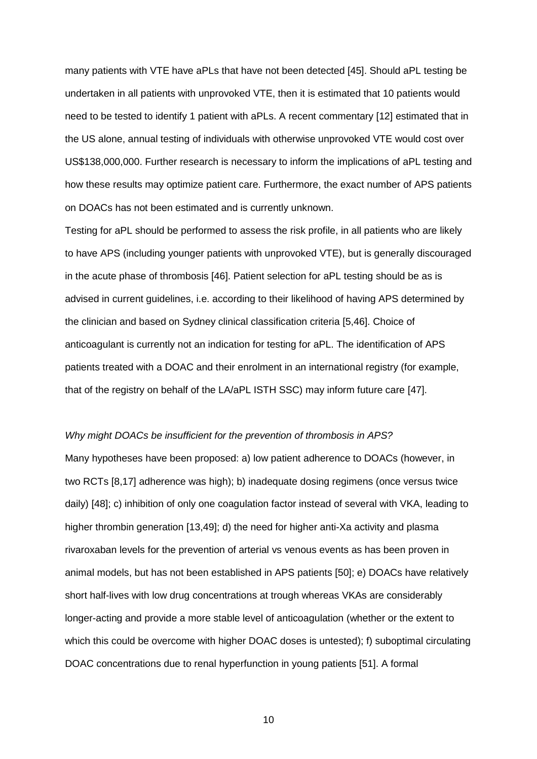many patients with VTE have aPLs that have not been detected [45]. Should aPL testing be undertaken in all patients with unprovoked VTE, then it is estimated that 10 patients would need to be tested to identify 1 patient with aPLs. A recent commentary [12] estimated that in the US alone, annual testing of individuals with otherwise unprovoked VTE would cost over US\$138,000,000. Further research is necessary to inform the implications of aPL testing and how these results may optimize patient care. Furthermore, the exact number of APS patients on DOACs has not been estimated and is currently unknown.

Testing for aPL should be performed to assess the risk profile, in all patients who are likely to have APS (including younger patients with unprovoked VTE), but is generally discouraged in the acute phase of thrombosis [46]. Patient selection for aPL testing should be as is advised in current guidelines, i.e. according to their likelihood of having APS determined by the clinician and based on Sydney clinical classification criteria [5,46]. Choice of anticoagulant is currently not an indication for testing for aPL. The identification of APS patients treated with a DOAC and their enrolment in an international registry (for example, that of the registry on behalf of the LA/aPL ISTH SSC) may inform future care [47].

#### *Why might DOACs be insufficient for the prevention of thrombosis in APS?*

Many hypotheses have been proposed: a) low patient adherence to DOACs (however, in two RCTs [8,17] adherence was high); b) inadequate dosing regimens (once versus twice daily) [48]; c) inhibition of only one coagulation factor instead of several with VKA, leading to higher thrombin generation [13,49]; d) the need for higher anti-Xa activity and plasma rivaroxaban levels for the prevention of arterial vs venous events as has been proven in animal models, but has not been established in APS patients [50]; e) DOACs have relatively short half-lives with low drug concentrations at trough whereas VKAs are considerably longer-acting and provide a more stable level of anticoagulation (whether or the extent to which this could be overcome with higher DOAC doses is untested); f) suboptimal circulating DOAC concentrations due to renal hyperfunction in young patients [51]. A formal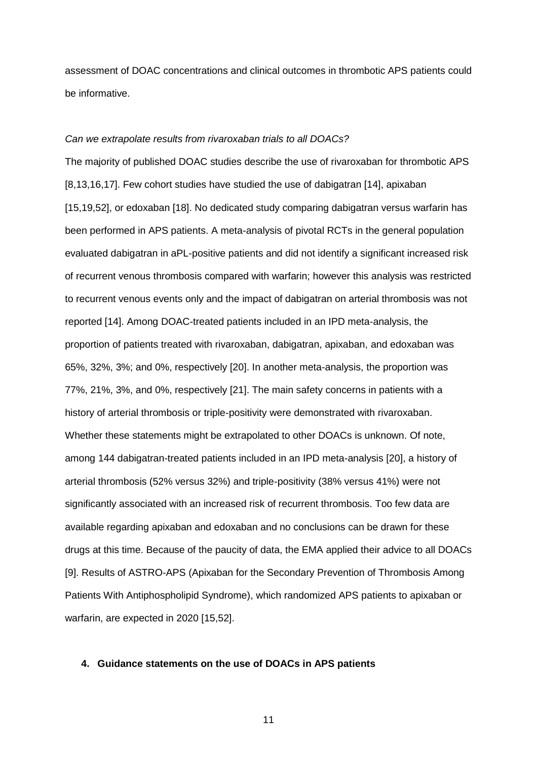assessment of DOAC concentrations and clinical outcomes in thrombotic APS patients could be informative.

#### *Can we extrapolate results from rivaroxaban trials to all DOACs?*

The majority of published DOAC studies describe the use of rivaroxaban for thrombotic APS [8,13,16,17]. Few cohort studies have studied the use of dabigatran [14], apixaban [15,19,52], or edoxaban [18]. No dedicated study comparing dabigatran versus warfarin has been performed in APS patients. A meta-analysis of pivotal RCTs in the general population evaluated dabigatran in aPL-positive patients and did not identify a significant increased risk of recurrent venous thrombosis compared with warfarin; however this analysis was restricted to recurrent venous events only and the impact of dabigatran on arterial thrombosis was not reported [14]. Among DOAC-treated patients included in an IPD meta-analysis, the proportion of patients treated with rivaroxaban, dabigatran, apixaban, and edoxaban was 65%, 32%, 3%; and 0%, respectively [20]. In another meta-analysis, the proportion was 77%, 21%, 3%, and 0%, respectively [21]. The main safety concerns in patients with a history of arterial thrombosis or triple-positivity were demonstrated with rivaroxaban. Whether these statements might be extrapolated to other DOACs is unknown. Of note, among 144 dabigatran-treated patients included in an IPD meta-analysis [20], a history of arterial thrombosis (52% versus 32%) and triple-positivity (38% versus 41%) were not significantly associated with an increased risk of recurrent thrombosis. Too few data are available regarding apixaban and edoxaban and no conclusions can be drawn for these drugs at this time. Because of the paucity of data, the EMA applied their advice to all DOACs [9]. Results of ASTRO-APS (Apixaban for the Secondary Prevention of Thrombosis Among Patients With Antiphospholipid Syndrome), which randomized APS patients to apixaban or warfarin, are expected in 2020 [15,52].

### **4. Guidance statements on the use of DOACs in APS patients**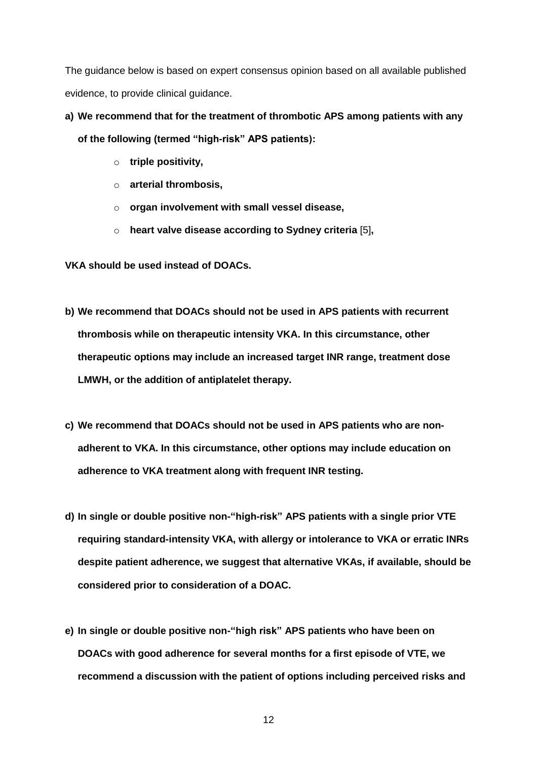The guidance below is based on expert consensus opinion based on all available published evidence, to provide clinical guidance.

# **a) We recommend that for the treatment of thrombotic APS among patients with any of the following (termed "high-risk" APS patients):**

- o **triple positivity,**
- o **arterial thrombosis,**
- o **organ involvement with small vessel disease,**
- o **heart valve disease according to Sydney criteria** [5]**,**

**VKA should be used instead of DOACs.**

- **b) We recommend that DOACs should not be used in APS patients with recurrent thrombosis while on therapeutic intensity VKA. In this circumstance, other therapeutic options may include an increased target INR range, treatment dose LMWH, or the addition of antiplatelet therapy.**
- **c) We recommend that DOACs should not be used in APS patients who are nonadherent to VKA. In this circumstance, other options may include education on adherence to VKA treatment along with frequent INR testing.**
- **d) In single or double positive non-"high-risk" APS patients with a single prior VTE requiring standard-intensity VKA, with allergy or intolerance to VKA or erratic INRs despite patient adherence, we suggest that alternative VKAs, if available, should be considered prior to consideration of a DOAC.**
- **e) In single or double positive non-"high risk" APS patients who have been on DOACs with good adherence for several months for a first episode of VTE, we recommend a discussion with the patient of options including perceived risks and**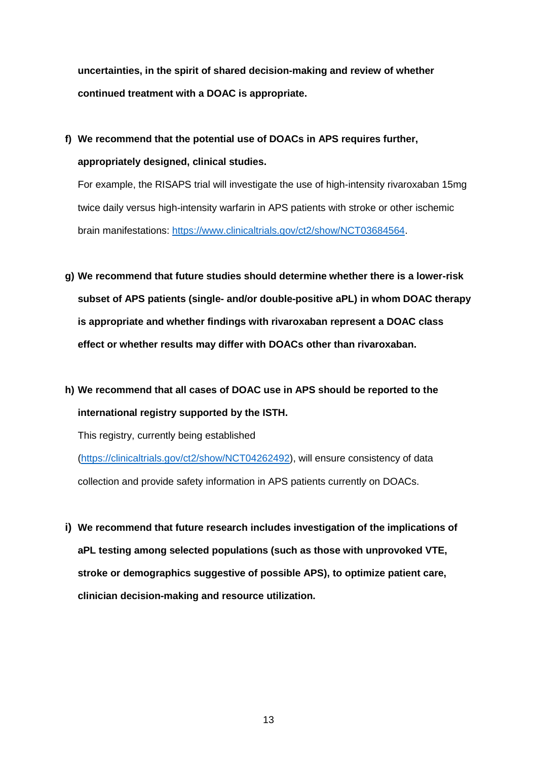**uncertainties, in the spirit of shared decision-making and review of whether continued treatment with a DOAC is appropriate.**

**f) We recommend that the potential use of DOACs in APS requires further, appropriately designed, clinical studies.**

For example, the RISAPS trial will investigate the use of high-intensity rivaroxaban 15mg twice daily versus high-intensity warfarin in APS patients with stroke or other ischemic brain manifestations: [https://www.clinicaltrials.gov/ct2/show/NCT03684564.](https://www.clinicaltrials.gov/ct2/show/NCT03684564)

- **g) We recommend that future studies should determine whether there is a lower-risk subset of APS patients (single- and/or double-positive aPL) in whom DOAC therapy is appropriate and whether findings with rivaroxaban represent a DOAC class effect or whether results may differ with DOACs other than rivaroxaban.**
- **h) We recommend that all cases of DOAC use in APS should be reported to the international registry supported by the ISTH.**

This registry, currently being established

[\(https://clinicaltrials.gov/ct2/show/NCT04262492\)](https://clinicaltrials.gov/ct2/show/NCT04262492), will ensure consistency of data collection and provide safety information in APS patients currently on DOACs.

**i) We recommend that future research includes investigation of the implications of aPL testing among selected populations (such as those with unprovoked VTE, stroke or demographics suggestive of possible APS), to optimize patient care, clinician decision-making and resource utilization.**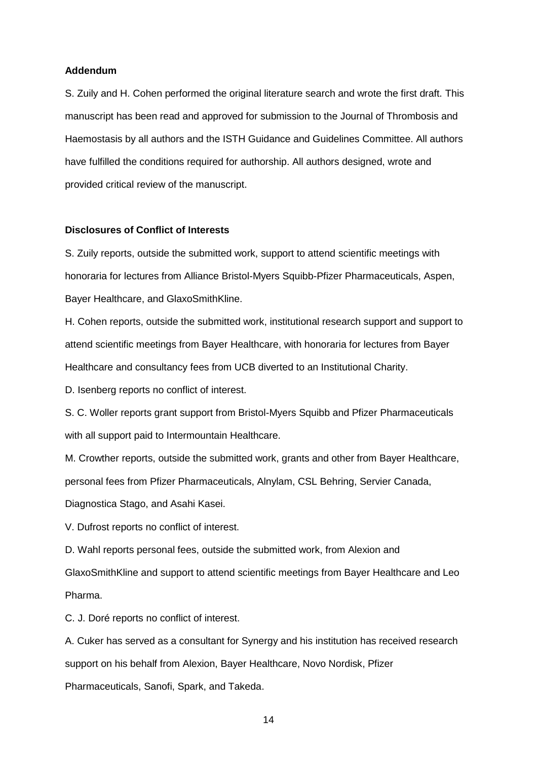#### **Addendum**

S. Zuily and H. Cohen performed the original literature search and wrote the first draft. This manuscript has been read and approved for submission to the Journal of Thrombosis and Haemostasis by all authors and the ISTH Guidance and Guidelines Committee. All authors have fulfilled the conditions required for authorship. All authors designed, wrote and provided critical review of the manuscript.

#### **Disclosures of Conflict of Interests**

S. Zuily reports, outside the submitted work, support to attend scientific meetings with honoraria for lectures from Alliance Bristol-Myers Squibb-Pfizer Pharmaceuticals, Aspen, Bayer Healthcare, and GlaxoSmithKline.

H. Cohen reports, outside the submitted work, institutional research support and support to attend scientific meetings from Bayer Healthcare, with honoraria for lectures from Bayer Healthcare and consultancy fees from UCB diverted to an Institutional Charity.

D. Isenberg reports no conflict of interest.

S. C. Woller reports grant support from Bristol-Myers Squibb and Pfizer Pharmaceuticals with all support paid to Intermountain Healthcare.

M. Crowther reports, outside the submitted work, grants and other from Bayer Healthcare, personal fees from Pfizer Pharmaceuticals, Alnylam, CSL Behring, Servier Canada,

Diagnostica Stago, and Asahi Kasei.

V. Dufrost reports no conflict of interest.

D. Wahl reports personal fees, outside the submitted work, from Alexion and GlaxoSmithKline and support to attend scientific meetings from Bayer Healthcare and Leo Pharma.

C. J. Doré reports no conflict of interest.

A. Cuker has served as a consultant for Synergy and his institution has received research support on his behalf from Alexion, Bayer Healthcare, Novo Nordisk, Pfizer

Pharmaceuticals, Sanofi, Spark, and Takeda.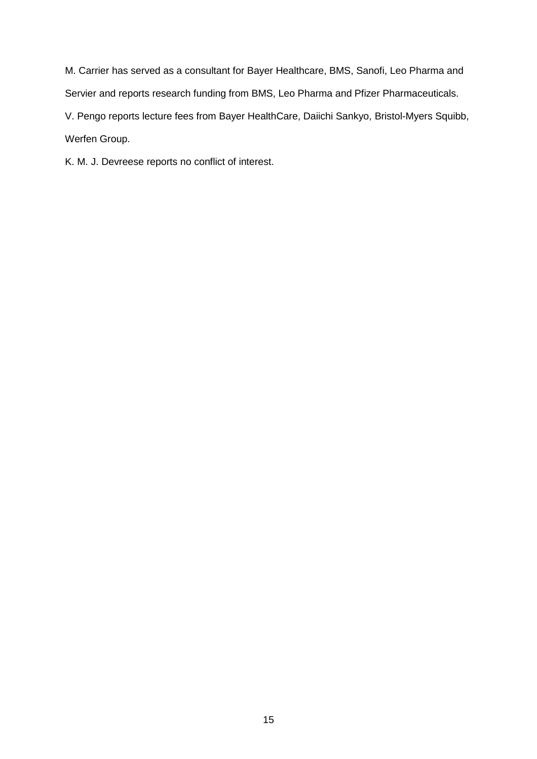M. Carrier has served as a consultant for Bayer Healthcare, BMS, Sanofi, Leo Pharma and Servier and reports research funding from BMS, Leo Pharma and Pfizer Pharmaceuticals. V. Pengo reports lecture fees from Bayer HealthCare, Daiichi Sankyo, Bristol-Myers Squibb, Werfen Group.

K. M. J. Devreese reports no conflict of interest.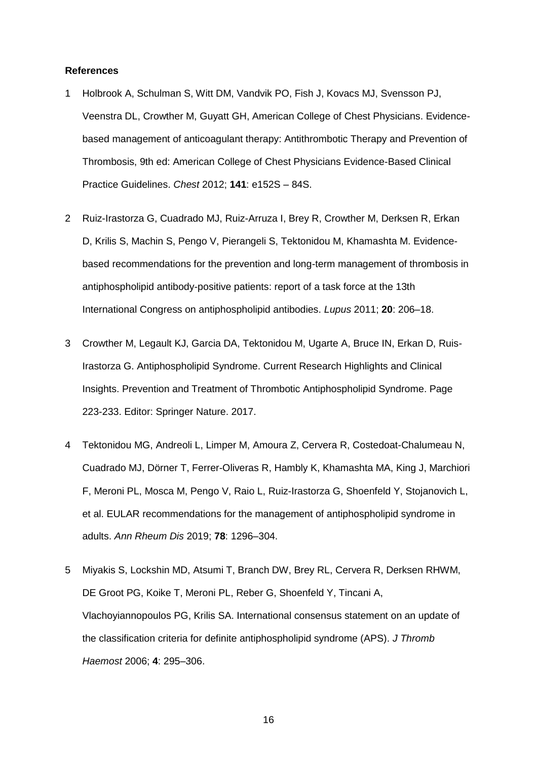#### **References**

- 1 Holbrook A, Schulman S, Witt DM, Vandvik PO, Fish J, Kovacs MJ, Svensson PJ, Veenstra DL, Crowther M, Guyatt GH, American College of Chest Physicians. Evidencebased management of anticoagulant therapy: Antithrombotic Therapy and Prevention of Thrombosis, 9th ed: American College of Chest Physicians Evidence-Based Clinical Practice Guidelines. *Chest* 2012; **141**: e152S – 84S.
- 2 Ruiz-Irastorza G, Cuadrado MJ, Ruiz-Arruza I, Brey R, Crowther M, Derksen R, Erkan D, Krilis S, Machin S, Pengo V, Pierangeli S, Tektonidou M, Khamashta M. Evidencebased recommendations for the prevention and long-term management of thrombosis in antiphospholipid antibody-positive patients: report of a task force at the 13th International Congress on antiphospholipid antibodies. *Lupus* 2011; **20**: 206–18.
- 3 Crowther M, Legault KJ, Garcia DA, Tektonidou M, Ugarte A, Bruce IN, Erkan D, Ruis-Irastorza G. Antiphospholipid Syndrome. Current Research Highlights and Clinical Insights. Prevention and Treatment of Thrombotic Antiphospholipid Syndrome. Page 223-233. Editor: Springer Nature. 2017.
- 4 Tektonidou MG, Andreoli L, Limper M, Amoura Z, Cervera R, Costedoat-Chalumeau N, Cuadrado MJ, Dörner T, Ferrer-Oliveras R, Hambly K, Khamashta MA, King J, Marchiori F, Meroni PL, Mosca M, Pengo V, Raio L, Ruiz-Irastorza G, Shoenfeld Y, Stojanovich L, et al. EULAR recommendations for the management of antiphospholipid syndrome in adults. *Ann Rheum Dis* 2019; **78**: 1296–304.
- 5 Miyakis S, Lockshin MD, Atsumi T, Branch DW, Brey RL, Cervera R, Derksen RHWM, DE Groot PG, Koike T, Meroni PL, Reber G, Shoenfeld Y, Tincani A, Vlachoyiannopoulos PG, Krilis SA. International consensus statement on an update of the classification criteria for definite antiphospholipid syndrome (APS). *J Thromb Haemost* 2006; **4**: 295–306.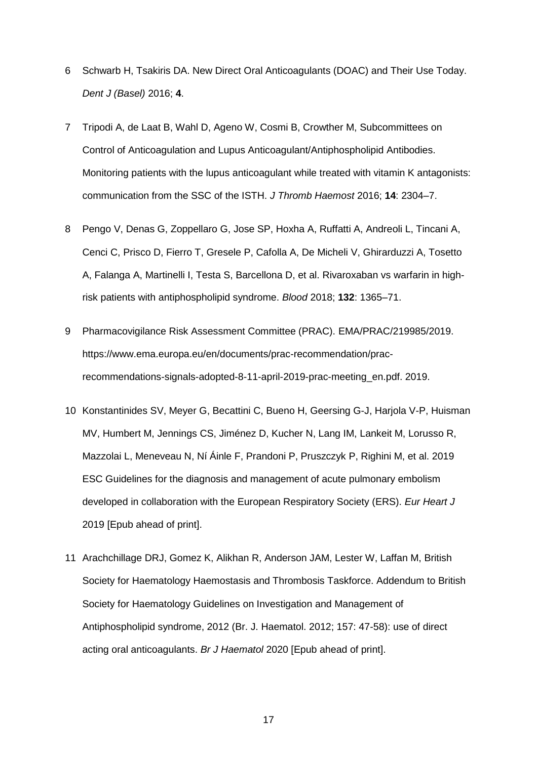- 6 Schwarb H, Tsakiris DA. New Direct Oral Anticoagulants (DOAC) and Their Use Today. *Dent J (Basel)* 2016; **4**.
- 7 Tripodi A, de Laat B, Wahl D, Ageno W, Cosmi B, Crowther M, Subcommittees on Control of Anticoagulation and Lupus Anticoagulant/Antiphospholipid Antibodies. Monitoring patients with the lupus anticoagulant while treated with vitamin K antagonists: communication from the SSC of the ISTH. *J Thromb Haemost* 2016; **14**: 2304–7.
- 8 Pengo V, Denas G, Zoppellaro G, Jose SP, Hoxha A, Ruffatti A, Andreoli L, Tincani A, Cenci C, Prisco D, Fierro T, Gresele P, Cafolla A, De Micheli V, Ghirarduzzi A, Tosetto A, Falanga A, Martinelli I, Testa S, Barcellona D, et al. Rivaroxaban vs warfarin in highrisk patients with antiphospholipid syndrome. *Blood* 2018; **132**: 1365–71.
- 9 Pharmacovigilance Risk Assessment Committee (PRAC). EMA/PRAC/219985/2019. https://www.ema.europa.eu/en/documents/prac-recommendation/pracrecommendations-signals-adopted-8-11-april-2019-prac-meeting\_en.pdf. 2019.
- 10 Konstantinides SV, Meyer G, Becattini C, Bueno H, Geersing G-J, Harjola V-P, Huisman MV, Humbert M, Jennings CS, Jiménez D, Kucher N, Lang IM, Lankeit M, Lorusso R, Mazzolai L, Meneveau N, Ní Áinle F, Prandoni P, Pruszczyk P, Righini M, et al. 2019 ESC Guidelines for the diagnosis and management of acute pulmonary embolism developed in collaboration with the European Respiratory Society (ERS). *Eur Heart J* 2019 [Epub ahead of print].
- 11 Arachchillage DRJ, Gomez K, Alikhan R, Anderson JAM, Lester W, Laffan M, British Society for Haematology Haemostasis and Thrombosis Taskforce. Addendum to British Society for Haematology Guidelines on Investigation and Management of Antiphospholipid syndrome, 2012 (Br. J. Haematol. 2012; 157: 47-58): use of direct acting oral anticoagulants. *Br J Haematol* 2020 [Epub ahead of print].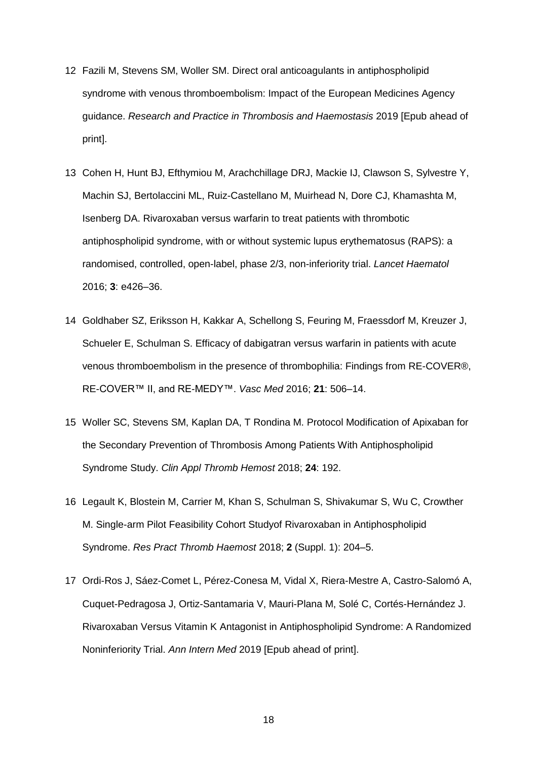- 12 Fazili M, Stevens SM, Woller SM. Direct oral anticoagulants in antiphospholipid syndrome with venous thromboembolism: Impact of the European Medicines Agency guidance. *Research and Practice in Thrombosis and Haemostasis* 2019 [Epub ahead of print].
- 13 Cohen H, Hunt BJ, Efthymiou M, Arachchillage DRJ, Mackie IJ, Clawson S, Sylvestre Y, Machin SJ, Bertolaccini ML, Ruiz-Castellano M, Muirhead N, Dore CJ, Khamashta M, Isenberg DA. Rivaroxaban versus warfarin to treat patients with thrombotic antiphospholipid syndrome, with or without systemic lupus erythematosus (RAPS): a randomised, controlled, open-label, phase 2/3, non-inferiority trial. *Lancet Haematol* 2016; **3**: e426–36.
- 14 Goldhaber SZ, Eriksson H, Kakkar A, Schellong S, Feuring M, Fraessdorf M, Kreuzer J, Schueler E, Schulman S. Efficacy of dabigatran versus warfarin in patients with acute venous thromboembolism in the presence of thrombophilia: Findings from RE-COVER®, RE-COVER™ II, and RE-MEDY™. *Vasc Med* 2016; **21**: 506–14.
- 15 Woller SC, Stevens SM, Kaplan DA, T Rondina M. Protocol Modification of Apixaban for the Secondary Prevention of Thrombosis Among Patients With Antiphospholipid Syndrome Study. *Clin Appl Thromb Hemost* 2018; **24**: 192.
- 16 Legault K, Blostein M, Carrier M, Khan S, Schulman S, Shivakumar S, Wu C, Crowther M. Single-arm Pilot Feasibility Cohort Studyof Rivaroxaban in Antiphospholipid Syndrome. *Res Pract Thromb Haemost* 2018; **2** (Suppl. 1): 204–5.
- 17 Ordi-Ros J, Sáez-Comet L, Pérez-Conesa M, Vidal X, Riera-Mestre A, Castro-Salomó A, Cuquet-Pedragosa J, Ortiz-Santamaria V, Mauri-Plana M, Solé C, Cortés-Hernández J. Rivaroxaban Versus Vitamin K Antagonist in Antiphospholipid Syndrome: A Randomized Noninferiority Trial. *Ann Intern Med* 2019 [Epub ahead of print].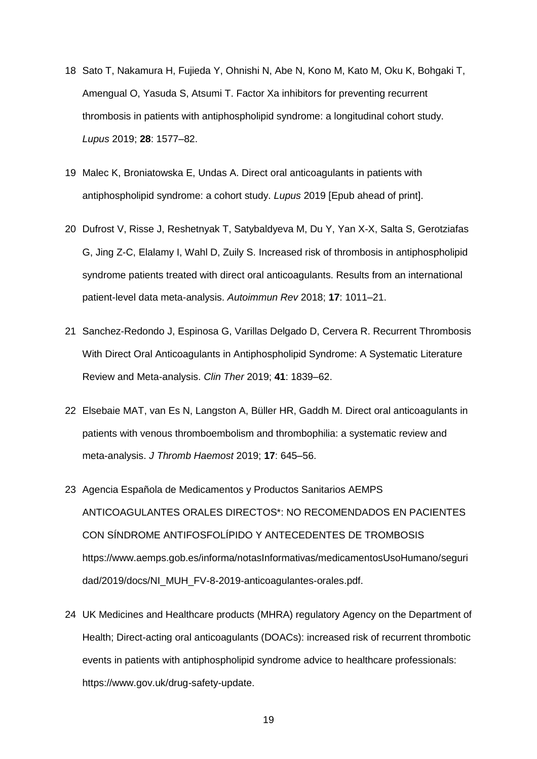- 18 Sato T, Nakamura H, Fujieda Y, Ohnishi N, Abe N, Kono M, Kato M, Oku K, Bohgaki T, Amengual O, Yasuda S, Atsumi T. Factor Xa inhibitors for preventing recurrent thrombosis in patients with antiphospholipid syndrome: a longitudinal cohort study. *Lupus* 2019; **28**: 1577–82.
- 19 Malec K, Broniatowska E, Undas A. Direct oral anticoagulants in patients with antiphospholipid syndrome: a cohort study. *Lupus* 2019 [Epub ahead of print].
- 20 Dufrost V, Risse J, Reshetnyak T, Satybaldyeva M, Du Y, Yan X-X, Salta S, Gerotziafas G, Jing Z-C, Elalamy I, Wahl D, Zuily S. Increased risk of thrombosis in antiphospholipid syndrome patients treated with direct oral anticoagulants. Results from an international patient-level data meta-analysis. *Autoimmun Rev* 2018; **17**: 1011–21.
- 21 Sanchez-Redondo J, Espinosa G, Varillas Delgado D, Cervera R. Recurrent Thrombosis With Direct Oral Anticoagulants in Antiphospholipid Syndrome: A Systematic Literature Review and Meta-analysis. *Clin Ther* 2019; **41**: 1839–62.
- 22 Elsebaie MAT, van Es N, Langston A, Büller HR, Gaddh M. Direct oral anticoagulants in patients with venous thromboembolism and thrombophilia: a systematic review and meta-analysis. *J Thromb Haemost* 2019; **17**: 645–56.
- 23 Agencia Española de Medicamentos y Productos Sanitarios AEMPS ANTICOAGULANTES ORALES DIRECTOS\*: NO RECOMENDADOS EN PACIENTES CON SÍNDROME ANTIFOSFOLÍPIDO Y ANTECEDENTES DE TROMBOSIS https://www.aemps.gob.es/informa/notasInformativas/medicamentosUsoHumano/seguri dad/2019/docs/NI\_MUH\_FV-8-2019-anticoagulantes-orales.pdf.
- 24 UK Medicines and Healthcare products (MHRA) regulatory Agency on the Department of Health; Direct-acting oral anticoagulants (DOACs): increased risk of recurrent thrombotic events in patients with antiphospholipid syndrome advice to healthcare professionals: https://www.gov.uk/drug-safety-update.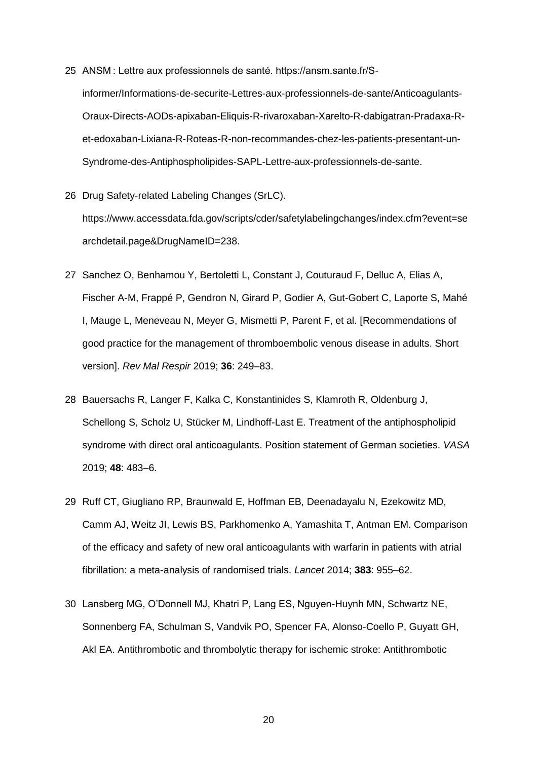- 25 ANSM : Lettre aux professionnels de santé. https://ansm.sante.fr/Sinformer/Informations-de-securite-Lettres-aux-professionnels-de-sante/Anticoagulants-Oraux-Directs-AODs-apixaban-Eliquis-R-rivaroxaban-Xarelto-R-dabigatran-Pradaxa-Ret-edoxaban-Lixiana-R-Roteas-R-non-recommandes-chez-les-patients-presentant-un-Syndrome-des-Antiphospholipides-SAPL-Lettre-aux-professionnels-de-sante.
- 26 Drug Safety-related Labeling Changes (SrLC). https://www.accessdata.fda.gov/scripts/cder/safetylabelingchanges/index.cfm?event=se archdetail.page&DrugNameID=238.
- 27 Sanchez O, Benhamou Y, Bertoletti L, Constant J, Couturaud F, Delluc A, Elias A, Fischer A-M, Frappé P, Gendron N, Girard P, Godier A, Gut-Gobert C, Laporte S, Mahé I, Mauge L, Meneveau N, Meyer G, Mismetti P, Parent F, et al. [Recommendations of good practice for the management of thromboembolic venous disease in adults. Short version]. *Rev Mal Respir* 2019; **36**: 249–83.
- 28 Bauersachs R, Langer F, Kalka C, Konstantinides S, Klamroth R, Oldenburg J, Schellong S, Scholz U, Stücker M, Lindhoff-Last E. Treatment of the antiphospholipid syndrome with direct oral anticoagulants. Position statement of German societies. *VASA* 2019; **48**: 483–6.
- 29 Ruff CT, Giugliano RP, Braunwald E, Hoffman EB, Deenadayalu N, Ezekowitz MD, Camm AJ, Weitz JI, Lewis BS, Parkhomenko A, Yamashita T, Antman EM. Comparison of the efficacy and safety of new oral anticoagulants with warfarin in patients with atrial fibrillation: a meta-analysis of randomised trials. *Lancet* 2014; **383**: 955–62.
- 30 Lansberg MG, O'Donnell MJ, Khatri P, Lang ES, Nguyen-Huynh MN, Schwartz NE, Sonnenberg FA, Schulman S, Vandvik PO, Spencer FA, Alonso-Coello P, Guyatt GH, Akl EA. Antithrombotic and thrombolytic therapy for ischemic stroke: Antithrombotic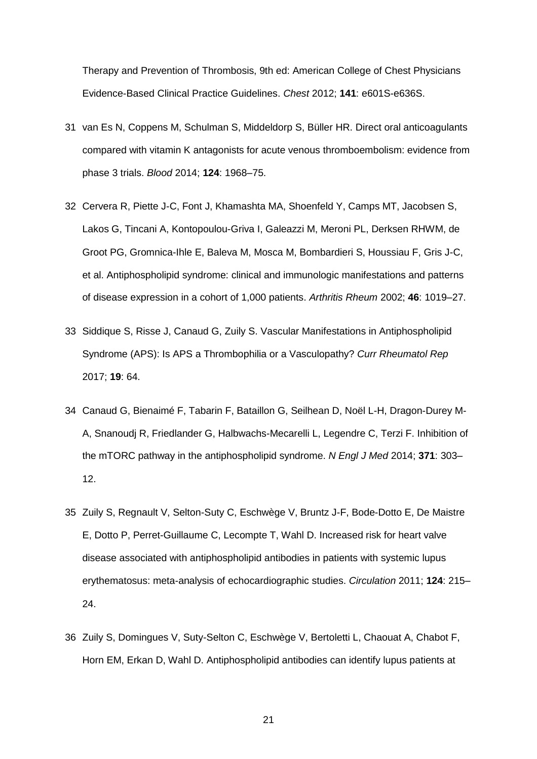Therapy and Prevention of Thrombosis, 9th ed: American College of Chest Physicians Evidence-Based Clinical Practice Guidelines. *Chest* 2012; **141**: e601S-e636S.

- 31 van Es N, Coppens M, Schulman S, Middeldorp S, Büller HR. Direct oral anticoagulants compared with vitamin K antagonists for acute venous thromboembolism: evidence from phase 3 trials. *Blood* 2014; **124**: 1968–75.
- 32 Cervera R, Piette J-C, Font J, Khamashta MA, Shoenfeld Y, Camps MT, Jacobsen S, Lakos G, Tincani A, Kontopoulou-Griva I, Galeazzi M, Meroni PL, Derksen RHWM, de Groot PG, Gromnica-Ihle E, Baleva M, Mosca M, Bombardieri S, Houssiau F, Gris J-C, et al. Antiphospholipid syndrome: clinical and immunologic manifestations and patterns of disease expression in a cohort of 1,000 patients. *Arthritis Rheum* 2002; **46**: 1019–27.
- 33 Siddique S, Risse J, Canaud G, Zuily S. Vascular Manifestations in Antiphospholipid Syndrome (APS): Is APS a Thrombophilia or a Vasculopathy? *Curr Rheumatol Rep* 2017; **19**: 64.
- 34 Canaud G, Bienaimé F, Tabarin F, Bataillon G, Seilhean D, Noël L-H, Dragon-Durey M-A, Snanoudj R, Friedlander G, Halbwachs-Mecarelli L, Legendre C, Terzi F. Inhibition of the mTORC pathway in the antiphospholipid syndrome. *N Engl J Med* 2014; **371**: 303– 12.
- 35 Zuily S, Regnault V, Selton-Suty C, Eschwège V, Bruntz J-F, Bode-Dotto E, De Maistre E, Dotto P, Perret-Guillaume C, Lecompte T, Wahl D. Increased risk for heart valve disease associated with antiphospholipid antibodies in patients with systemic lupus erythematosus: meta-analysis of echocardiographic studies. *Circulation* 2011; **124**: 215– 24.
- 36 Zuily S, Domingues V, Suty-Selton C, Eschwège V, Bertoletti L, Chaouat A, Chabot F, Horn EM, Erkan D, Wahl D. Antiphospholipid antibodies can identify lupus patients at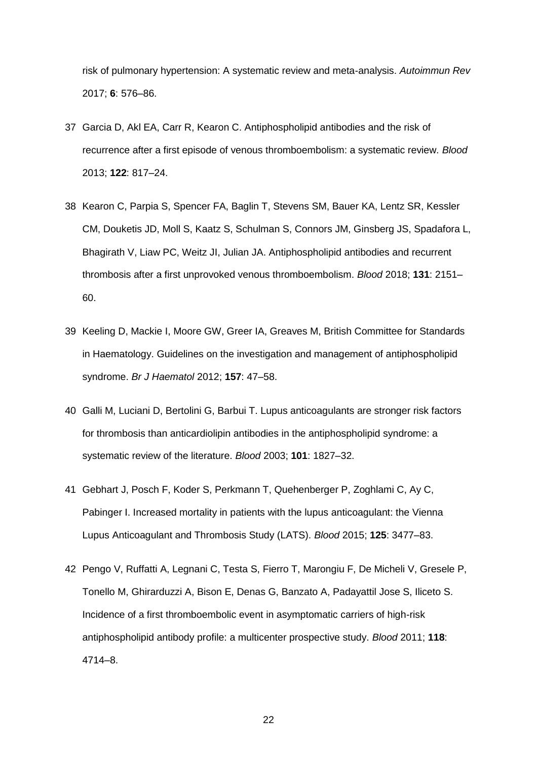risk of pulmonary hypertension: A systematic review and meta-analysis. *Autoimmun Rev* 2017; **6**: 576–86.

- 37 Garcia D, Akl EA, Carr R, Kearon C. Antiphospholipid antibodies and the risk of recurrence after a first episode of venous thromboembolism: a systematic review. *Blood* 2013; **122**: 817–24.
- 38 Kearon C, Parpia S, Spencer FA, Baglin T, Stevens SM, Bauer KA, Lentz SR, Kessler CM, Douketis JD, Moll S, Kaatz S, Schulman S, Connors JM, Ginsberg JS, Spadafora L, Bhagirath V, Liaw PC, Weitz JI, Julian JA. Antiphospholipid antibodies and recurrent thrombosis after a first unprovoked venous thromboembolism. *Blood* 2018; **131**: 2151– 60.
- 39 Keeling D, Mackie I, Moore GW, Greer IA, Greaves M, British Committee for Standards in Haematology. Guidelines on the investigation and management of antiphospholipid syndrome. *Br J Haematol* 2012; **157**: 47–58.
- 40 Galli M, Luciani D, Bertolini G, Barbui T. Lupus anticoagulants are stronger risk factors for thrombosis than anticardiolipin antibodies in the antiphospholipid syndrome: a systematic review of the literature. *Blood* 2003; **101**: 1827–32.
- 41 Gebhart J, Posch F, Koder S, Perkmann T, Quehenberger P, Zoghlami C, Ay C, Pabinger I. Increased mortality in patients with the lupus anticoagulant: the Vienna Lupus Anticoagulant and Thrombosis Study (LATS). *Blood* 2015; **125**: 3477–83.
- 42 Pengo V, Ruffatti A, Legnani C, Testa S, Fierro T, Marongiu F, De Micheli V, Gresele P, Tonello M, Ghirarduzzi A, Bison E, Denas G, Banzato A, Padayattil Jose S, Iliceto S. Incidence of a first thromboembolic event in asymptomatic carriers of high-risk antiphospholipid antibody profile: a multicenter prospective study. *Blood* 2011; **118**: 4714–8.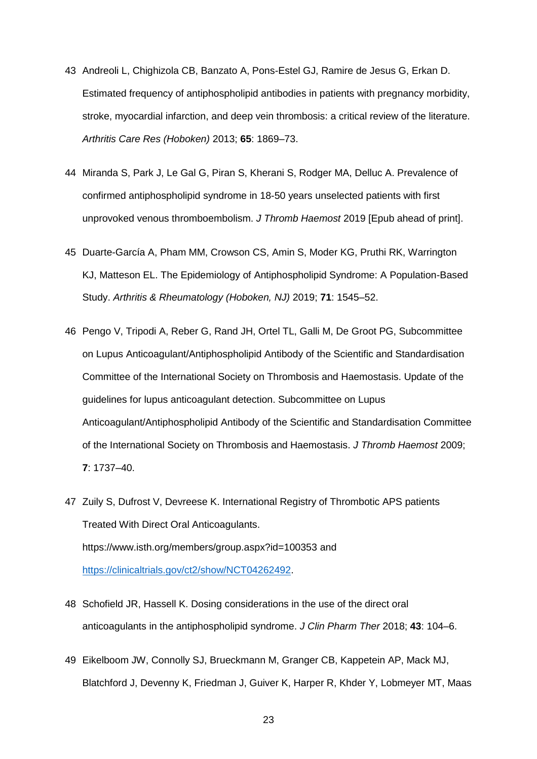- 43 Andreoli L, Chighizola CB, Banzato A, Pons-Estel GJ, Ramire de Jesus G, Erkan D. Estimated frequency of antiphospholipid antibodies in patients with pregnancy morbidity, stroke, myocardial infarction, and deep vein thrombosis: a critical review of the literature. *Arthritis Care Res (Hoboken)* 2013; **65**: 1869–73.
- 44 Miranda S, Park J, Le Gal G, Piran S, Kherani S, Rodger MA, Delluc A. Prevalence of confirmed antiphospholipid syndrome in 18-50 years unselected patients with first unprovoked venous thromboembolism. *J Thromb Haemost* 2019 [Epub ahead of print].
- 45 Duarte-García A, Pham MM, Crowson CS, Amin S, Moder KG, Pruthi RK, Warrington KJ, Matteson EL. The Epidemiology of Antiphospholipid Syndrome: A Population-Based Study. *Arthritis & Rheumatology (Hoboken, NJ)* 2019; **71**: 1545–52.
- 46 Pengo V, Tripodi A, Reber G, Rand JH, Ortel TL, Galli M, De Groot PG, Subcommittee on Lupus Anticoagulant/Antiphospholipid Antibody of the Scientific and Standardisation Committee of the International Society on Thrombosis and Haemostasis. Update of the guidelines for lupus anticoagulant detection. Subcommittee on Lupus Anticoagulant/Antiphospholipid Antibody of the Scientific and Standardisation Committee of the International Society on Thrombosis and Haemostasis. *J Thromb Haemost* 2009; **7**: 1737–40.
- 47 Zuily S, Dufrost V, Devreese K. International Registry of Thrombotic APS patients Treated With Direct Oral Anticoagulants. https://www.isth.org/members/group.aspx?id=100353 and [https://clinicaltrials.gov/ct2/show/NCT04262492.](https://clinicaltrials.gov/ct2/show/NCT04262492)
- 48 Schofield JR, Hassell K. Dosing considerations in the use of the direct oral anticoagulants in the antiphospholipid syndrome. *J Clin Pharm Ther* 2018; **43**: 104–6.
- 49 Eikelboom JW, Connolly SJ, Brueckmann M, Granger CB, Kappetein AP, Mack MJ, Blatchford J, Devenny K, Friedman J, Guiver K, Harper R, Khder Y, Lobmeyer MT, Maas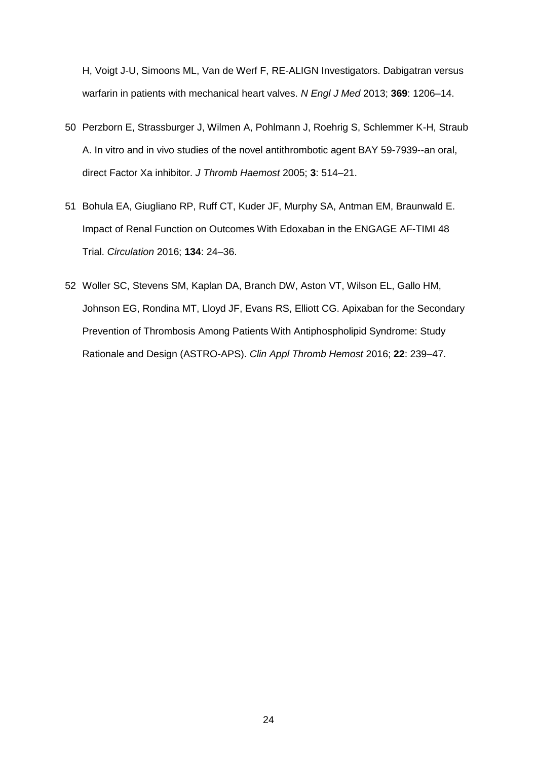H, Voigt J-U, Simoons ML, Van de Werf F, RE-ALIGN Investigators. Dabigatran versus warfarin in patients with mechanical heart valves. *N Engl J Med* 2013; **369**: 1206–14.

- 50 Perzborn E, Strassburger J, Wilmen A, Pohlmann J, Roehrig S, Schlemmer K-H, Straub A. In vitro and in vivo studies of the novel antithrombotic agent BAY 59-7939--an oral, direct Factor Xa inhibitor. *J Thromb Haemost* 2005; **3**: 514–21.
- 51 Bohula EA, Giugliano RP, Ruff CT, Kuder JF, Murphy SA, Antman EM, Braunwald E. Impact of Renal Function on Outcomes With Edoxaban in the ENGAGE AF-TIMI 48 Trial. *Circulation* 2016; **134**: 24–36.
- 52 Woller SC, Stevens SM, Kaplan DA, Branch DW, Aston VT, Wilson EL, Gallo HM, Johnson EG, Rondina MT, Lloyd JF, Evans RS, Elliott CG. Apixaban for the Secondary Prevention of Thrombosis Among Patients With Antiphospholipid Syndrome: Study Rationale and Design (ASTRO-APS). *Clin Appl Thromb Hemost* 2016; **22**: 239–47.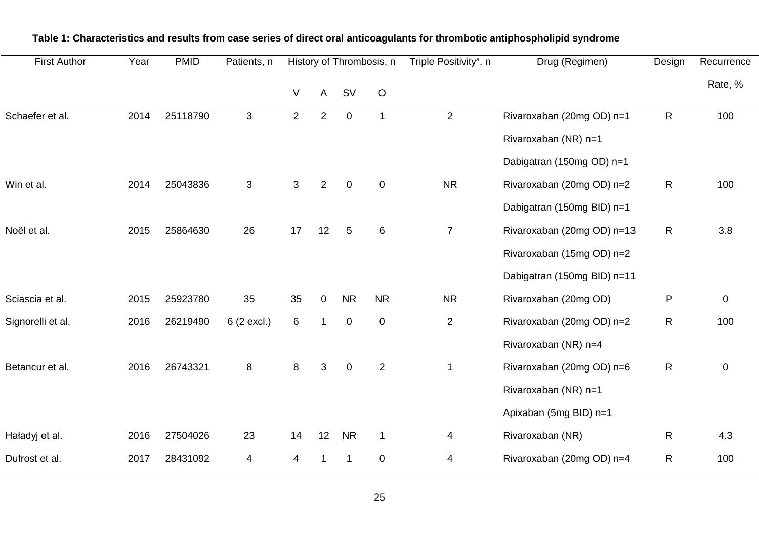| <b>First Author</b> | Year<br><b>PMID</b><br>History of Thrombosis, n<br>Patients, n | Triple Positivity <sup>a</sup> , n | Drug (Regimen) | Design         | Recurrence     |                  |                |                |                             |                |             |
|---------------------|----------------------------------------------------------------|------------------------------------|----------------|----------------|----------------|------------------|----------------|----------------|-----------------------------|----------------|-------------|
|                     |                                                                |                                    |                | $\sf V$        | $\mathsf{A}$   |                  | $\mathsf O$    |                |                             |                | Rate, %     |
| Schaefer et al.     | 2014                                                           | 25118790                           | $\mathfrak{S}$ | $\overline{2}$ | $\overline{2}$ | $\mathbf 0$      |                | $\overline{2}$ | Rivaroxaban (20mg OD) n=1   | $\overline{R}$ | 100         |
|                     |                                                                |                                    |                |                |                |                  |                |                | Rivaroxaban (NR) n=1        |                |             |
|                     |                                                                |                                    |                |                |                |                  |                |                | Dabigatran (150mg OD) n=1   |                |             |
| Win et al.          | 2014                                                           | 25043836                           | $\mathfrak{S}$ | 3              | $\overline{2}$ | $\mathbf 0$      | $\mathbf 0$    | <b>NR</b>      | Rivaroxaban (20mg OD) n=2   | $\mathsf{R}$   | 100         |
|                     |                                                                |                                    |                |                |                |                  |                |                | Dabigatran (150mg BID) n=1  |                |             |
| Noël et al.         | 2015                                                           | 25864630                           | 26             | 17             | 12             | 5                | 6              | $\overline{7}$ | Rivaroxaban (20mg OD) n=13  | $\mathsf{R}$   | 3.8         |
|                     |                                                                |                                    |                |                |                |                  |                |                | Rivaroxaban (15mg OD) n=2   |                |             |
|                     |                                                                |                                    |                |                |                |                  |                |                | Dabigatran (150mg BID) n=11 |                |             |
| Sciascia et al.     | 2015                                                           | 25923780                           | 35             | 35             | 0              | <b>NR</b>        | <b>NR</b>      | <b>NR</b>      | Rivaroxaban (20mg OD)       | $\mathsf{P}$   | $\mathbf 0$ |
| Signorelli et al.   | 2016                                                           | 26219490                           | 6 (2 excl.)    | 6              | $\mathbf 1$    | $\mathbf 0$      | $\pmb{0}$      | $\mathbf{2}$   | Rivaroxaban (20mg OD) n=2   | R              | 100         |
|                     |                                                                |                                    |                |                |                |                  |                |                | Rivaroxaban (NR) n=4        |                |             |
| Betancur et al.     | 2016                                                           | 26743321                           | 8              | 8              | 3              | $\boldsymbol{0}$ | $\overline{2}$ | $\mathbf 1$    | Rivaroxaban (20mg OD) n=6   | $\mathsf{R}$   | $\mathbf 0$ |
|                     |                                                                |                                    |                |                |                |                  |                |                | Rivaroxaban (NR) n=1        |                |             |
|                     |                                                                |                                    |                |                |                |                  |                |                | Apixaban (5mg BID) n=1      |                |             |
| Haładyj et al.      | 2016                                                           | 27504026                           | 23             | 14             | 12             | <b>NR</b>        | $\mathbf{1}$   | 4              | Rivaroxaban (NR)            | $\mathsf{R}$   | 4.3         |
| Dufrost et al.      | 2017                                                           | 28431092                           | 4              | 4              |                | 1                | $\pmb{0}$      | 4              | Rivaroxaban (20mg OD) n=4   | $\mathsf{R}$   | 100         |
|                     |                                                                |                                    |                |                |                |                  |                |                |                             |                |             |

## **Table 1: Characteristics and results from case series of direct oral anticoagulants for thrombotic antiphospholipid syndrome**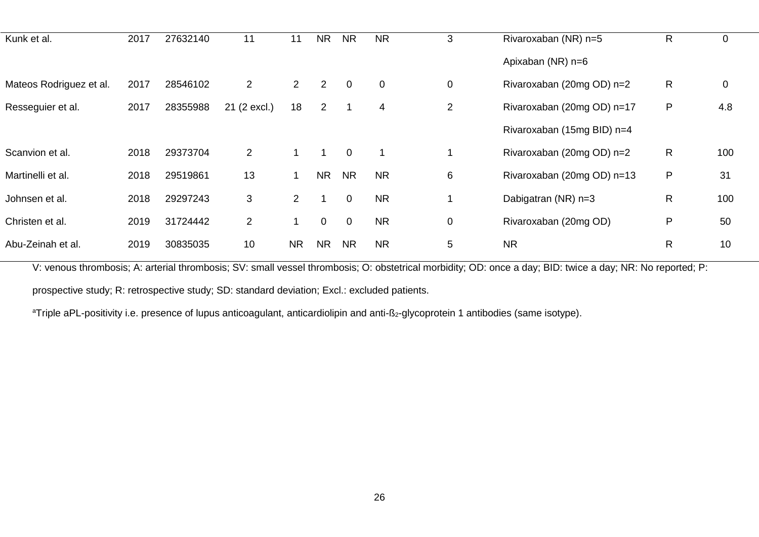| Kunk et al.             | 2017 | 27632140 | 11             | 11             | <b>NR</b>      | <b>NR</b>      | <b>NR</b>   | 3              | Rivaroxaban (NR) n=5       | R  |             |
|-------------------------|------|----------|----------------|----------------|----------------|----------------|-------------|----------------|----------------------------|----|-------------|
|                         |      |          |                |                |                |                |             |                |                            |    | $\mathbf 0$ |
|                         |      |          |                |                |                |                |             |                | Apixaban (NR) n=6          |    |             |
| Mateos Rodriguez et al. | 2017 | 28546102 | $\overline{2}$ | $\overline{2}$ | $\overline{2}$ | $\overline{0}$ | $\mathbf 0$ | $\mathbf 0$    | Rivaroxaban (20mg OD) n=2  | R. | $\mathbf 0$ |
| Resseguier et al.       | 2017 | 28355988 | 21 (2 excl.)   | 18             | $\overline{2}$ |                | 4           | $\overline{2}$ | Rivaroxaban (20mg OD) n=17 | P  | 4.8         |
|                         |      |          |                |                |                |                |             |                | Rivaroxaban (15mg BID) n=4 |    |             |
| Scanvion et al.         | 2018 | 29373704 | $\overline{2}$ |                |                | $\overline{0}$ |             |                | Rivaroxaban (20mg OD) n=2  | R  | 100         |
| Martinelli et al.       | 2018 | 29519861 | 13             |                | <b>NR</b>      | <b>NR</b>      | <b>NR</b>   | 6              | Rivaroxaban (20mg OD) n=13 | P  | 31          |
| Johnsen et al.          | 2018 | 29297243 | 3              | $\overline{2}$ |                | $\overline{0}$ | <b>NR</b>   |                | Dabigatran (NR) n=3        | R  | 100         |
| Christen et al.         | 2019 | 31724442 | $\overline{2}$ |                | $\overline{0}$ | $\overline{0}$ | <b>NR</b>   | 0              | Rivaroxaban (20mg OD)      | P  | 50          |
| Abu-Zeinah et al.       | 2019 | 30835035 | 10             | <b>NR</b>      | <b>NR</b>      | <b>NR</b>      | <b>NR</b>   | 5              | <b>NR</b>                  | R  | 10          |

V: venous thrombosis; A: arterial thrombosis; SV: small vessel thrombosis; O: obstetrical morbidity; OD: once a day; BID: twice a day; NR: No reported; P:

prospective study; R: retrospective study; SD: standard deviation; Excl.: excluded patients.

<sup>a</sup>Triple aPL-positivity i.e. presence of lupus anticoagulant, anticardiolipin and anti-ß<sub>2</sub>-glycoprotein 1 antibodies (same isotype).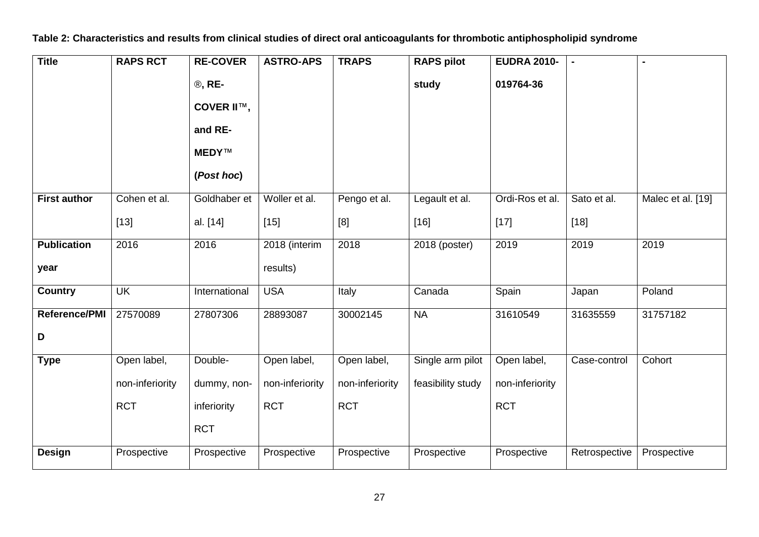**Table 2: Characteristics and results from clinical studies of direct oral anticoagulants for thrombotic antiphospholipid syndrome**

| <b>Title</b>         | <b>RAPS RCT</b> | <b>RE-COVER</b> | <b>ASTRO-APS</b> | <b>TRAPS</b>    | <b>RAPS pilot</b> | <b>EUDRA 2010-</b> | $\blacksquare$ |                   |
|----------------------|-----------------|-----------------|------------------|-----------------|-------------------|--------------------|----------------|-------------------|
|                      |                 | <b>®, RE-</b>   |                  |                 | study             | 019764-36          |                |                   |
|                      |                 | COVER II™,      |                  |                 |                   |                    |                |                   |
|                      |                 | and RE-         |                  |                 |                   |                    |                |                   |
|                      |                 | MEDY™           |                  |                 |                   |                    |                |                   |
|                      |                 | (Post hoc)      |                  |                 |                   |                    |                |                   |
| <b>First author</b>  | Cohen et al.    | Goldhaber et    | Woller et al.    | Pengo et al.    | Legault et al.    | Ordi-Ros et al.    | Sato et al.    | Malec et al. [19] |
|                      | $[13]$          | al. [14]        | $[15]$           | [8]             | $[16]$            | $[17]$             | $[18]$         |                   |
| <b>Publication</b>   | 2016            | 2016            | 2018 (interim    | 2018            | 2018 (poster)     | 2019               | 2019           | 2019              |
| year                 |                 |                 | results)         |                 |                   |                    |                |                   |
| <b>Country</b>       | <b>UK</b>       | International   | <b>USA</b>       | Italy           | Canada            | Spain              | Japan          | Poland            |
| <b>Reference/PMI</b> | 27570089        | 27807306        | 28893087         | 30002145        | <b>NA</b>         | 31610549           | 31635559       | 31757182          |
| D                    |                 |                 |                  |                 |                   |                    |                |                   |
| <b>Type</b>          | Open label,     | Double-         | Open label,      | Open label,     | Single arm pilot  | Open label,        | Case-control   | Cohort            |
|                      | non-inferiority | dummy, non-     | non-inferiority  | non-inferiority | feasibility study | non-inferiority    |                |                   |
|                      | <b>RCT</b>      | inferiority     | <b>RCT</b>       | <b>RCT</b>      |                   | <b>RCT</b>         |                |                   |
|                      |                 | <b>RCT</b>      |                  |                 |                   |                    |                |                   |
| <b>Design</b>        | Prospective     | Prospective     | Prospective      | Prospective     | Prospective       | Prospective        | Retrospective  | Prospective       |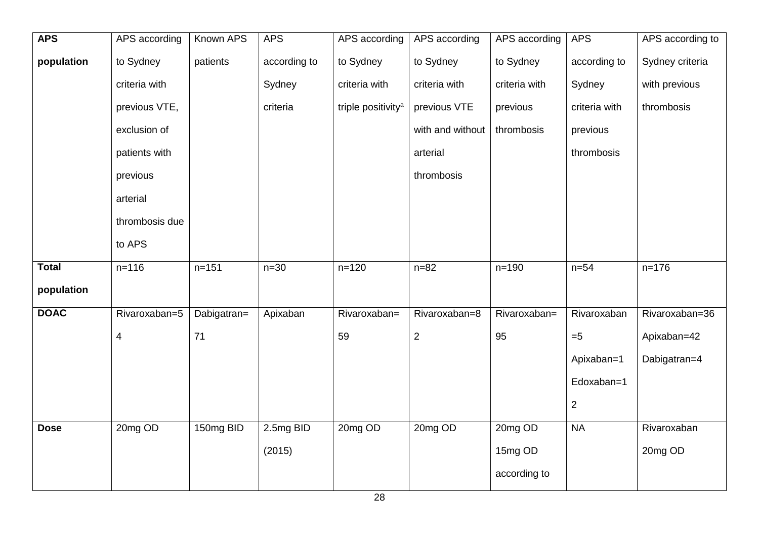| <b>APS</b>   | APS according           | <b>Known APS</b> | <b>APS</b>   | APS according                  | APS according    | APS according | <b>APS</b>     | APS according to |
|--------------|-------------------------|------------------|--------------|--------------------------------|------------------|---------------|----------------|------------------|
| population   | to Sydney               | patients         | according to | to Sydney                      | to Sydney        | to Sydney     | according to   | Sydney criteria  |
|              | criteria with           |                  | Sydney       | criteria with                  | criteria with    | criteria with | Sydney         | with previous    |
|              | previous VTE,           |                  | criteria     | triple positivity <sup>a</sup> | previous VTE     | previous      | criteria with  | thrombosis       |
|              | exclusion of            |                  |              |                                | with and without | thrombosis    | previous       |                  |
|              | patients with           |                  |              |                                | arterial         |               | thrombosis     |                  |
|              | previous                |                  |              |                                | thrombosis       |               |                |                  |
|              | arterial                |                  |              |                                |                  |               |                |                  |
|              | thrombosis due          |                  |              |                                |                  |               |                |                  |
|              | to APS                  |                  |              |                                |                  |               |                |                  |
| <b>Total</b> | $n = 116$               | $n = 151$        | $n=30$       | $n = 120$                      | $n = 82$         | $n = 190$     | $n=54$         | $n = 176$        |
| population   |                         |                  |              |                                |                  |               |                |                  |
| <b>DOAC</b>  | Rivaroxaban=5           | Dabigatran=      | Apixaban     | Rivaroxaban=                   | Rivaroxaban=8    | Rivaroxaban=  | Rivaroxaban    | Rivaroxaban=36   |
|              | $\overline{\mathbf{4}}$ | 71               |              | 59                             | $\overline{2}$   | 95            | $= 5$          | Apixaban=42      |
|              |                         |                  |              |                                |                  |               | Apixaban=1     | Dabigatran=4     |
|              |                         |                  |              |                                |                  |               | Edoxaban=1     |                  |
|              |                         |                  |              |                                |                  |               | $\overline{2}$ |                  |
| <b>Dose</b>  | 20mg OD                 | 150mg BID        | 2.5mg BID    | 20mg OD                        | 20mg OD          | 20mg OD       | <b>NA</b>      | Rivaroxaban      |
|              |                         |                  | (2015)       |                                |                  | 15mg OD       |                | 20mg OD          |
|              |                         |                  |              |                                |                  | according to  |                |                  |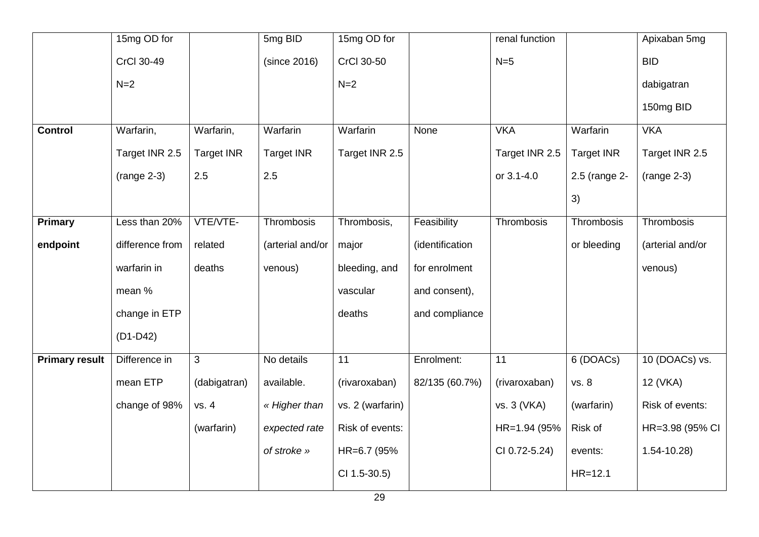|                       | 15mg OD for     |                   | 5mg BID           | 15mg OD for      |                 | renal function |                   | Apixaban 5mg     |
|-----------------------|-----------------|-------------------|-------------------|------------------|-----------------|----------------|-------------------|------------------|
|                       | CrCl 30-49      |                   | (since 2016)      | CrCl 30-50       |                 | $N=5$          |                   | <b>BID</b>       |
|                       | $N=2$           |                   |                   | $N=2$            |                 |                |                   | dabigatran       |
|                       |                 |                   |                   |                  |                 |                |                   | 150mg BID        |
| <b>Control</b>        | Warfarin,       | Warfarin,         | Warfarin          | Warfarin         | None            | <b>VKA</b>     | Warfarin          | <b>VKA</b>       |
|                       | Target INR 2.5  | <b>Target INR</b> | <b>Target INR</b> | Target INR 2.5   |                 | Target INR 2.5 | <b>Target INR</b> | Target INR 2.5   |
|                       | $(range 2-3)$   | 2.5               | 2.5               |                  |                 | or 3.1-4.0     | 2.5 (range 2-     | $(range 2-3)$    |
|                       |                 |                   |                   |                  |                 |                | 3)                |                  |
| <b>Primary</b>        | Less than 20%   | VTE/VTE-          | Thrombosis        | Thrombosis,      | Feasibility     | Thrombosis     | Thrombosis        | Thrombosis       |
| endpoint              | difference from | related           | (arterial and/or  | major            | (identification |                | or bleeding       | (arterial and/or |
|                       | warfarin in     | deaths            | venous)           | bleeding, and    | for enrolment   |                |                   | venous)          |
|                       | mean %          |                   |                   | vascular         | and consent),   |                |                   |                  |
|                       | change in ETP   |                   |                   | deaths           | and compliance  |                |                   |                  |
|                       | $(D1-D42)$      |                   |                   |                  |                 |                |                   |                  |
| <b>Primary result</b> | Difference in   | $\mathbf{3}$      | No details        | 11               | Enrolment:      | 11             | 6 (DOACs)         | 10 (DOACs) vs.   |
|                       | mean ETP        | (dabigatran)      | available.        | (rivaroxaban)    | 82/135 (60.7%)  | (rivaroxaban)  | vs. 8             | 12 (VKA)         |
|                       | change of 98%   | vs. 4             | « Higher than     | vs. 2 (warfarin) |                 | vs. 3 (VKA)    | (warfarin)        | Risk of events:  |
|                       |                 | (warfarin)        | expected rate     | Risk of events:  |                 | HR=1.94 (95%   | Risk of           | HR=3.98 (95% CI  |
|                       |                 |                   | of stroke »       | HR=6.7 (95%      |                 | CI 0.72-5.24)  | events:           | $1.54 - 10.28$   |
|                       |                 |                   |                   | CI 1.5-30.5)     |                 |                | $HR = 12.1$       |                  |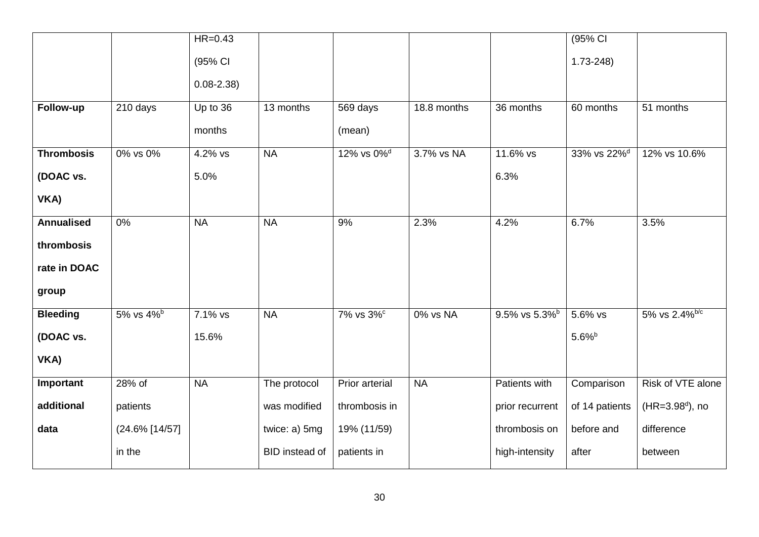|                   |                   | $HR=0.43$     |                |                        |             |                           | (95% CI                 |                           |
|-------------------|-------------------|---------------|----------------|------------------------|-------------|---------------------------|-------------------------|---------------------------|
|                   |                   | (95% CI       |                |                        |             |                           | $1.73 - 248$            |                           |
|                   |                   | $0.08 - 2.38$ |                |                        |             |                           |                         |                           |
| Follow-up         | 210 days          | Up to 36      | 13 months      | 569 days               | 18.8 months | 36 months                 | 60 months               | 51 months                 |
|                   |                   | months        |                | (mean)                 |             |                           |                         |                           |
| <b>Thrombosis</b> | 0% vs 0%          | 4.2% vs       | <b>NA</b>      | 12% vs 0% <sup>d</sup> | 3.7% vs NA  | 11.6% vs                  | 33% vs 22% <sup>d</sup> | 12% vs 10.6%              |
| (DOAC vs.         |                   | 5.0%          |                |                        |             | 6.3%                      |                         |                           |
| VKA)              |                   |               |                |                        |             |                           |                         |                           |
| <b>Annualised</b> | $0\%$             | <b>NA</b>     | <b>NA</b>      | 9%                     | 2.3%        | 4.2%                      | 6.7%                    | 3.5%                      |
| thrombosis        |                   |               |                |                        |             |                           |                         |                           |
| rate in DOAC      |                   |               |                |                        |             |                           |                         |                           |
| group             |                   |               |                |                        |             |                           |                         |                           |
| <b>Bleeding</b>   | 5% vs 4%b         | 7.1% vs       | <b>NA</b>      | 7% vs 3%c              | 0% vs NA    | 9.5% vs 5.3% <sup>b</sup> | 5.6% vs                 | 5% vs 2.4% <sup>b/c</sup> |
| (DOAC vs.         |                   | 15.6%         |                |                        |             |                           | $5.6\%$                 |                           |
| VKA)              |                   |               |                |                        |             |                           |                         |                           |
| Important         | 28% of            | <b>NA</b>     | The protocol   | <b>Prior arterial</b>  | <b>NA</b>   | <b>Patients with</b>      | Comparison              | Risk of VTE alone         |
| additional        | patients          |               | was modified   | thrombosis in          |             | prior recurrent           | of 14 patients          | $(HR = 3.98^d)$ , no      |
| data              | $(24.6\%$ [14/57] |               | twice: a) 5mg  | 19% (11/59)            |             | thrombosis on             | before and              | difference                |
|                   | in the            |               | BID instead of | patients in            |             | high-intensity            | after                   | between                   |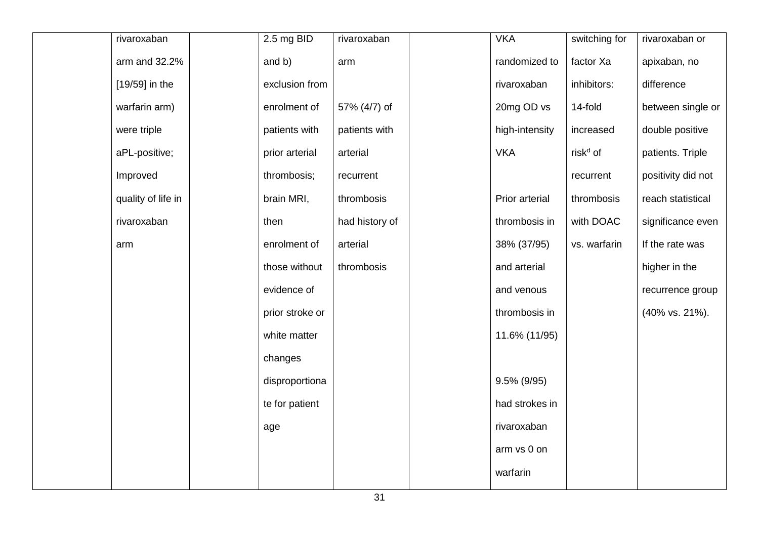| rivaroxaban        | 2.5 mg BID      | rivaroxaban    | <b>VKA</b>     | switching for        | rivaroxaban or     |
|--------------------|-----------------|----------------|----------------|----------------------|--------------------|
| arm and 32.2%      | and b)          | arm            | randomized to  | factor Xa            | apixaban, no       |
| [19/59] in the     | exclusion from  |                | rivaroxaban    | inhibitors:          | difference         |
| warfarin arm)      | enrolment of    | 57% (4/7) of   | 20mg OD vs     | 14-fold              | between single or  |
| were triple        | patients with   | patients with  | high-intensity | increased            | double positive    |
| aPL-positive;      | prior arterial  | arterial       | <b>VKA</b>     | risk <sup>d</sup> of | patients. Triple   |
| Improved           | thrombosis;     | recurrent      |                | recurrent            | positivity did not |
| quality of life in | brain MRI,      | thrombosis     | Prior arterial | thrombosis           | reach statistical  |
| rivaroxaban        | then            | had history of | thrombosis in  | with DOAC            | significance even  |
| arm                | enrolment of    | arterial       | 38% (37/95)    | vs. warfarin         | If the rate was    |
|                    | those without   | thrombosis     | and arterial   |                      | higher in the      |
|                    | evidence of     |                | and venous     |                      | recurrence group   |
|                    | prior stroke or |                | thrombosis in  |                      | (40% vs. 21%).     |
|                    | white matter    |                | 11.6% (11/95)  |                      |                    |
|                    | changes         |                |                |                      |                    |
|                    | disproportiona  |                | 9.5% (9/95)    |                      |                    |
|                    | te for patient  |                | had strokes in |                      |                    |
|                    | age             |                | rivaroxaban    |                      |                    |
|                    |                 |                | arm vs 0 on    |                      |                    |
|                    |                 |                | warfarin       |                      |                    |
|                    |                 |                |                |                      |                    |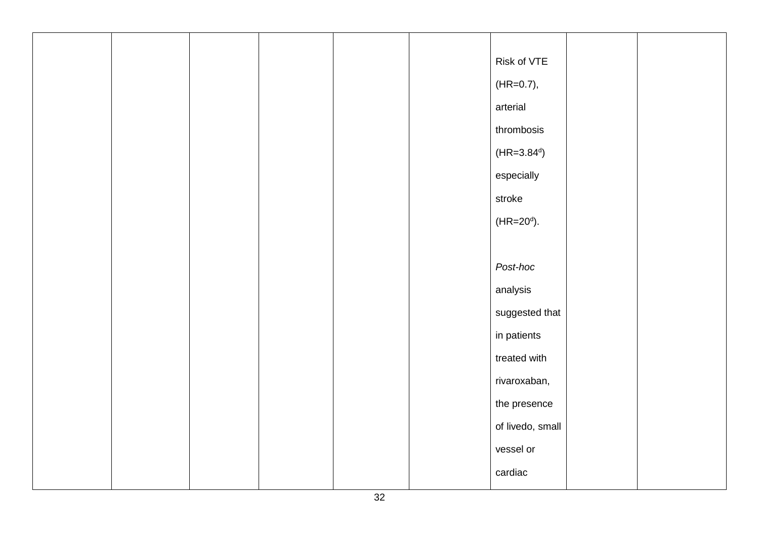|  |  |  | Risk of VTE      |  |
|--|--|--|------------------|--|
|  |  |  | $(HR=0.7),$      |  |
|  |  |  | arterial         |  |
|  |  |  | thrombosis       |  |
|  |  |  | $(HR = 3.84^d)$  |  |
|  |  |  | especially       |  |
|  |  |  | stroke           |  |
|  |  |  | $(HR = 20^d)$ .  |  |
|  |  |  |                  |  |
|  |  |  | Post-hoc         |  |
|  |  |  | analysis         |  |
|  |  |  | suggested that   |  |
|  |  |  | in patients      |  |
|  |  |  | treated with     |  |
|  |  |  | rivaroxaban,     |  |
|  |  |  | the presence     |  |
|  |  |  | of livedo, small |  |
|  |  |  | vessel or        |  |
|  |  |  | cardiac          |  |
|  |  |  |                  |  |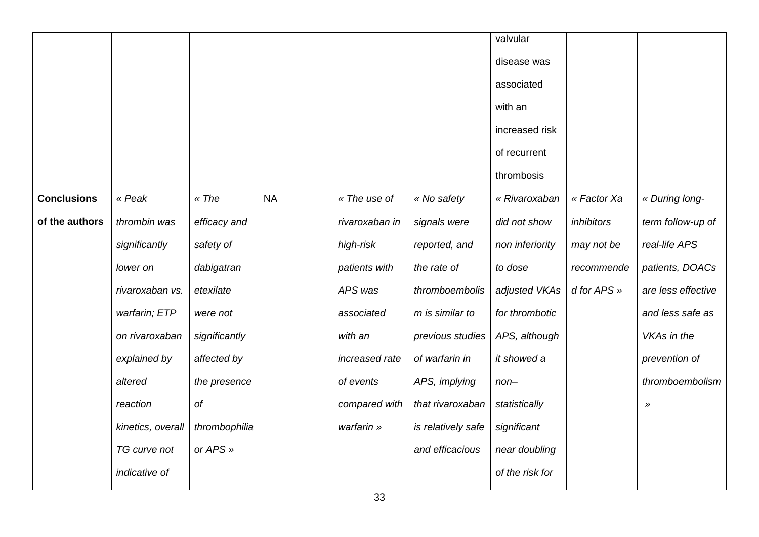|                    |                   |               |           |                |                    | valvular        |             |                    |
|--------------------|-------------------|---------------|-----------|----------------|--------------------|-----------------|-------------|--------------------|
|                    |                   |               |           |                |                    | disease was     |             |                    |
|                    |                   |               |           |                |                    | associated      |             |                    |
|                    |                   |               |           |                |                    | with an         |             |                    |
|                    |                   |               |           |                |                    | increased risk  |             |                    |
|                    |                   |               |           |                |                    | of recurrent    |             |                    |
|                    |                   |               |           |                |                    | thrombosis      |             |                    |
| <b>Conclusions</b> | « Peak            | « The         | <b>NA</b> | « The use of   | « No safety        | « Rivaroxaban   | « Factor Xa | « During long-     |
| of the authors     | thrombin was      | efficacy and  |           | rivaroxaban in | signals were       | did not show    | inhibitors  | term follow-up of  |
|                    | significantly     | safety of     |           | high-risk      | reported, and      | non inferiority | may not be  | real-life APS      |
|                    | lower on          | dabigatran    |           | patients with  | the rate of        | to dose         | recommende  | patients, DOACs    |
|                    | rivaroxaban vs.   | etexilate     |           | APS was        | thromboembolis     | adjusted VKAs   | d for APS » | are less effective |
|                    | warfarin; ETP     | were not      |           | associated     | m is similar to    | for thrombotic  |             | and less safe as   |
|                    | on rivaroxaban    | significantly |           | with an        | previous studies   | APS, although   |             | VKAs in the        |
|                    | explained by      | affected by   |           | increased rate | of warfarin in     | it showed a     |             | prevention of      |
|                    | altered           | the presence  |           | of events      | APS, implying      | $non-$          |             | thromboembolism    |
|                    | reaction          | Оf            |           | compared with  | that rivaroxaban   | statistically   |             | $\rightarrow$      |
|                    | kinetics, overall | thrombophilia |           | warfarin »     | is relatively safe | significant     |             |                    |
|                    | TG curve not      | or APS »      |           |                | and efficacious    | near doubling   |             |                    |
|                    | indicative of     |               |           |                |                    | of the risk for |             |                    |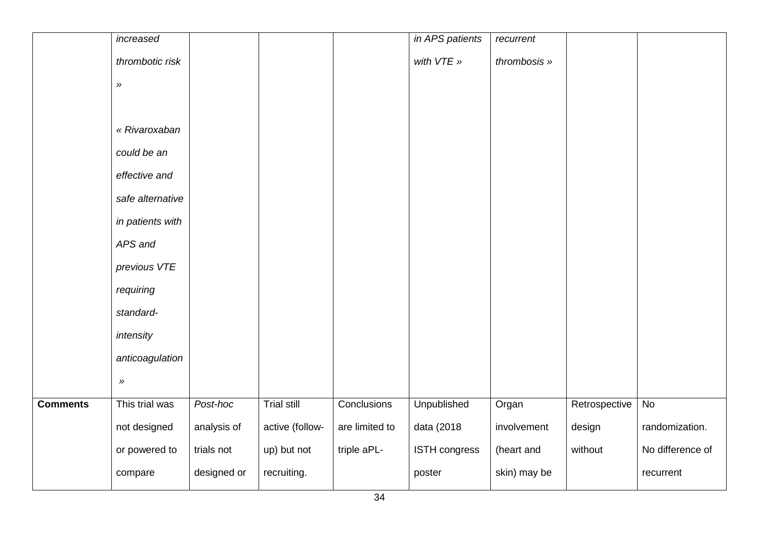|                 | increased                  |             |                    |                | in APS patients      | recurrent    |               |                  |
|-----------------|----------------------------|-------------|--------------------|----------------|----------------------|--------------|---------------|------------------|
|                 | thrombotic risk            |             |                    |                | with VTE »           | thrombosis » |               |                  |
|                 | $\boldsymbol{\mathcal{Y}}$ |             |                    |                |                      |              |               |                  |
|                 |                            |             |                    |                |                      |              |               |                  |
|                 | « Rivaroxaban              |             |                    |                |                      |              |               |                  |
|                 | could be an                |             |                    |                |                      |              |               |                  |
|                 | effective and              |             |                    |                |                      |              |               |                  |
|                 | safe alternative           |             |                    |                |                      |              |               |                  |
|                 | in patients with           |             |                    |                |                      |              |               |                  |
|                 | APS and                    |             |                    |                |                      |              |               |                  |
|                 | previous VTE               |             |                    |                |                      |              |               |                  |
|                 | requiring                  |             |                    |                |                      |              |               |                  |
|                 | standard-                  |             |                    |                |                      |              |               |                  |
|                 | intensity                  |             |                    |                |                      |              |               |                  |
|                 | anticoagulation            |             |                    |                |                      |              |               |                  |
|                 | $\rangle\!\rangle$         |             |                    |                |                      |              |               |                  |
| <b>Comments</b> | This trial was             | Post-hoc    | <b>Trial still</b> | Conclusions    | <b>Unpublished</b>   | Organ        | Retrospective | No               |
|                 | not designed               | analysis of | active (follow-    | are limited to | data (2018           | involvement  | design        | randomization.   |
|                 | or powered to              | trials not  | up) but not        | triple aPL-    | <b>ISTH congress</b> | (heart and   | without       | No difference of |
|                 | compare                    | designed or | recruiting.        |                | poster               | skin) may be |               | recurrent        |
|                 |                            |             |                    |                |                      |              |               |                  |